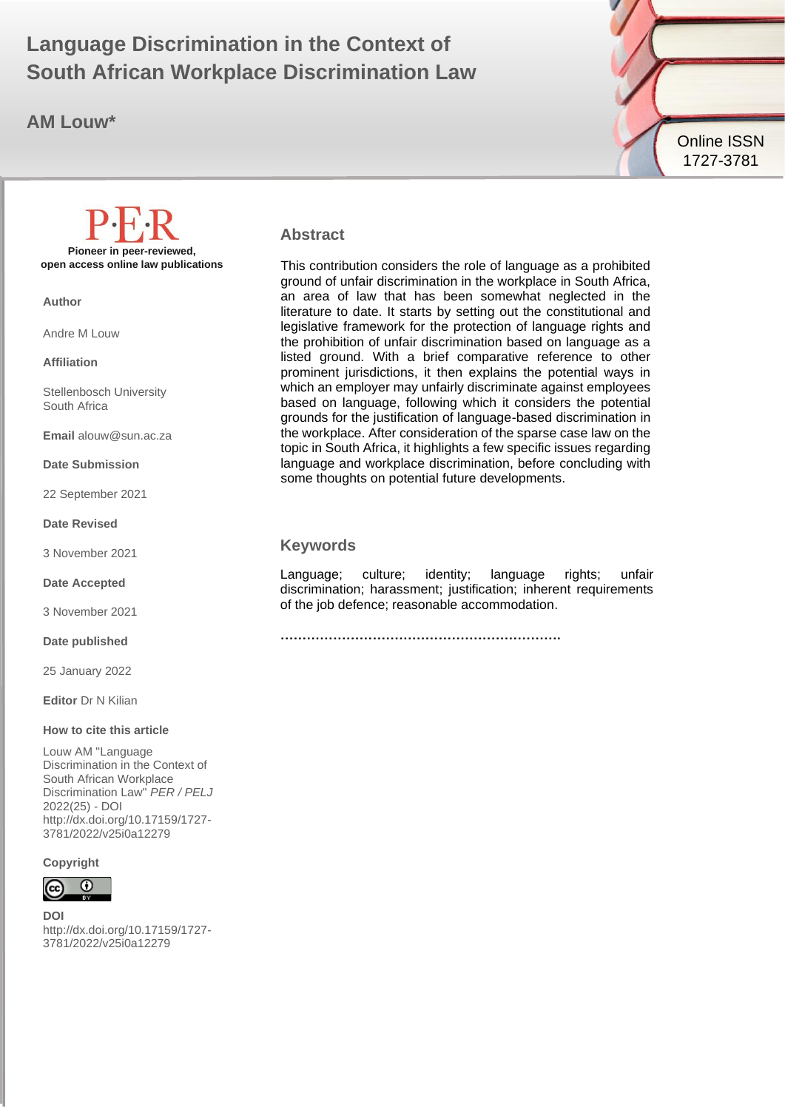# **Language Discrimination in the Context of**  $\begin{array}{ccc} \bullet & \bullet & \bullet \end{array}$ **South African Workplace Discrimination Law**

**AM Louw\***



#### **Abstract**

This contribution considers the role of language as a prohibited ground of unfair discrimination in the workplace in South Africa, an area of law that has been somewhat neglected in the literature to date. It starts by setting out the constitutional and legislative framework for the protection of language rights and the prohibition of unfair discrimination based on language as a listed ground. With a brief comparative reference to other prominent jurisdictions, it then explains the potential ways in which an employer may unfairly discriminate against employees based on language, following which it considers the potential grounds for the justification of language-based discrimination in the workplace. After consideration of the sparse case law on the topic in South Africa, it highlights a few specific issues regarding language and workplace discrimination, before concluding with some thoughts on potential future developments.

#### **Keywords**

Language; culture; identity; language rights; unfair discrimination; harassment; justification; inherent requirements of the job defence; reasonable accommodation.

**……………………………………………………….**

**Pioneer in peer-reviewed, open access online law publications**

**Author**

Andre M Louw

**Affiliation**

Stellenbosch University South Africa

**Email** alouw@sun.ac.za

**Date Submission**

22 September 2021

**Date Revised**

3 November 2021

**Date Accepted**

3 November 2021

**Date published**

25 January 2022

**Editor** Dr N Kilian

#### **How to cite this article**

Louw AM "Language Discrimination in the Context of South African Workplace Discrimination Law" *PER / PELJ* 2022(25) - DOI http://dx.doi.org/10.17159/1727- 3781/2022/v25i0a12279

#### **Copyright**



**DOI**  http://dx.doi.org/10.17159/1727- 3781/2022/v25i0a12279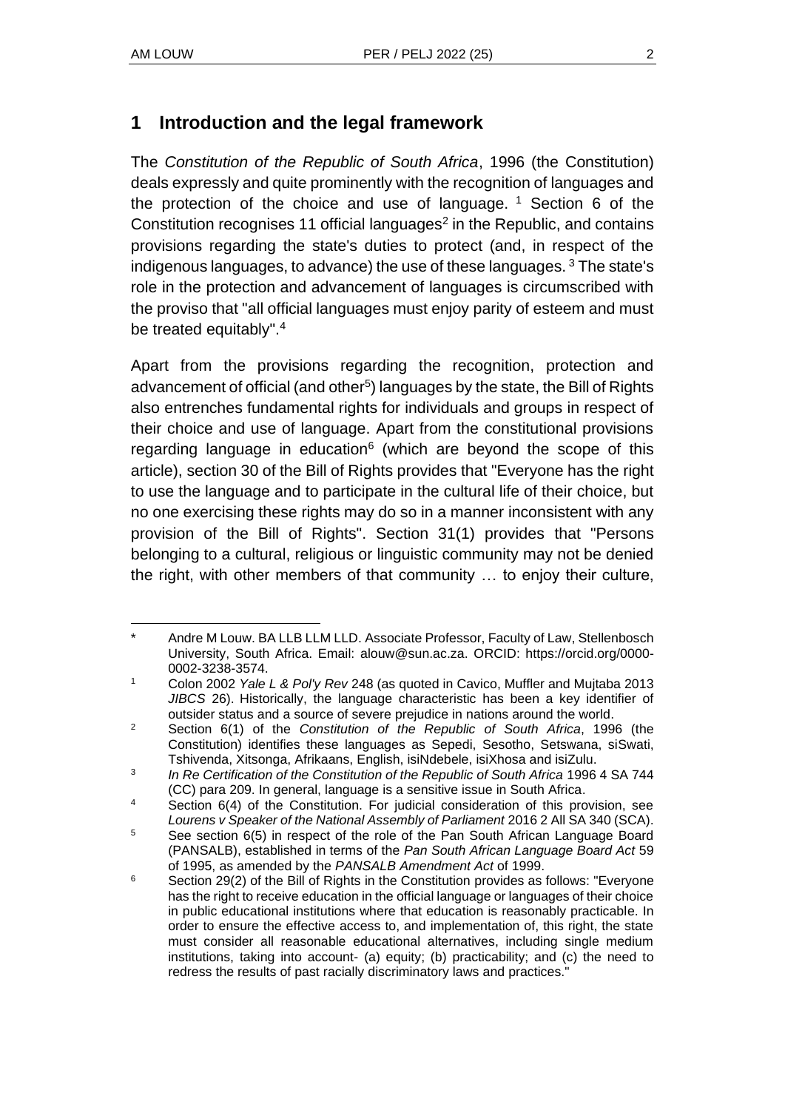### **1 Introduction and the legal framework**

The *Constitution of the Republic of South Africa*, 1996 (the Constitution) deals expressly and quite prominently with the recognition of languages and the protection of the choice and use of language.  $1$  Section 6 of the Constitution recognises 11 official languages $2$  in the Republic, and contains provisions regarding the state's duties to protect (and, in respect of the indigenous languages, to advance) the use of these languages. <sup>3</sup> The state's role in the protection and advancement of languages is circumscribed with the proviso that "all official languages must enjoy parity of esteem and must be treated equitably".<sup>4</sup>

Apart from the provisions regarding the recognition, protection and advancement of official (and other $5$ ) languages by the state, the Bill of Rights also entrenches fundamental rights for individuals and groups in respect of their choice and use of language. Apart from the constitutional provisions regarding language in education<sup>6</sup> (which are beyond the scope of this article), section 30 of the Bill of Rights provides that "Everyone has the right to use the language and to participate in the cultural life of their choice, but no one exercising these rights may do so in a manner inconsistent with any provision of the Bill of Rights". Section 31(1) provides that "Persons belonging to a cultural, religious or linguistic community may not be denied the right, with other members of that community … to enjoy their culture,

Andre M Louw. BA LLB LLM LLD. Associate Professor, Faculty of Law, Stellenbosch University, South Africa. Email: alouw@sun.ac.za. ORCID: https://orcid.org/0000- 0002-3238-3574.

<sup>1</sup> Colon 2002 *Yale L & Pol'y Rev* 248 (as quoted in Cavico, Muffler and Mujtaba 2013 *JIBCS* 26). Historically, the language characteristic has been a key identifier of outsider status and a source of severe prejudice in nations around the world.

<sup>2</sup> Section 6(1) of the *Constitution of the Republic of South Africa*, 1996 (the Constitution) identifies these languages as Sepedi, Sesotho, Setswana, siSwati, Tshivenda, Xitsonga, Afrikaans, English, isiNdebele, isiXhosa and isiZulu.

<sup>3</sup> In Re Certification of the Constitution of the Republic of South Africa 1996 4 SA 744 (CC) para 209. In general, language is a sensitive issue in South Africa.

<sup>4</sup> Section 6(4) of the Constitution. For judicial consideration of this provision, see *Lourens v Speaker of the National Assembly of Parliament* 2016 2 All SA 340 (SCA).

 $5$  See section 6(5) in respect of the role of the Pan South African Language Board (PANSALB), established in terms of the *Pan South African Language Board Act* 59 of 1995, as amended by the *PANSALB Amendment Act* of 1999.

 $6$  Section 29(2) of the Bill of Rights in the Constitution provides as follows: "Everyone has the right to receive education in the official language or languages of their choice in public educational institutions where that education is reasonably practicable. In order to ensure the effective access to, and implementation of, this right, the state must consider all reasonable educational alternatives, including single medium institutions, taking into account- (a) equity; (b) practicability; and (c) the need to redress the results of past racially discriminatory laws and practices."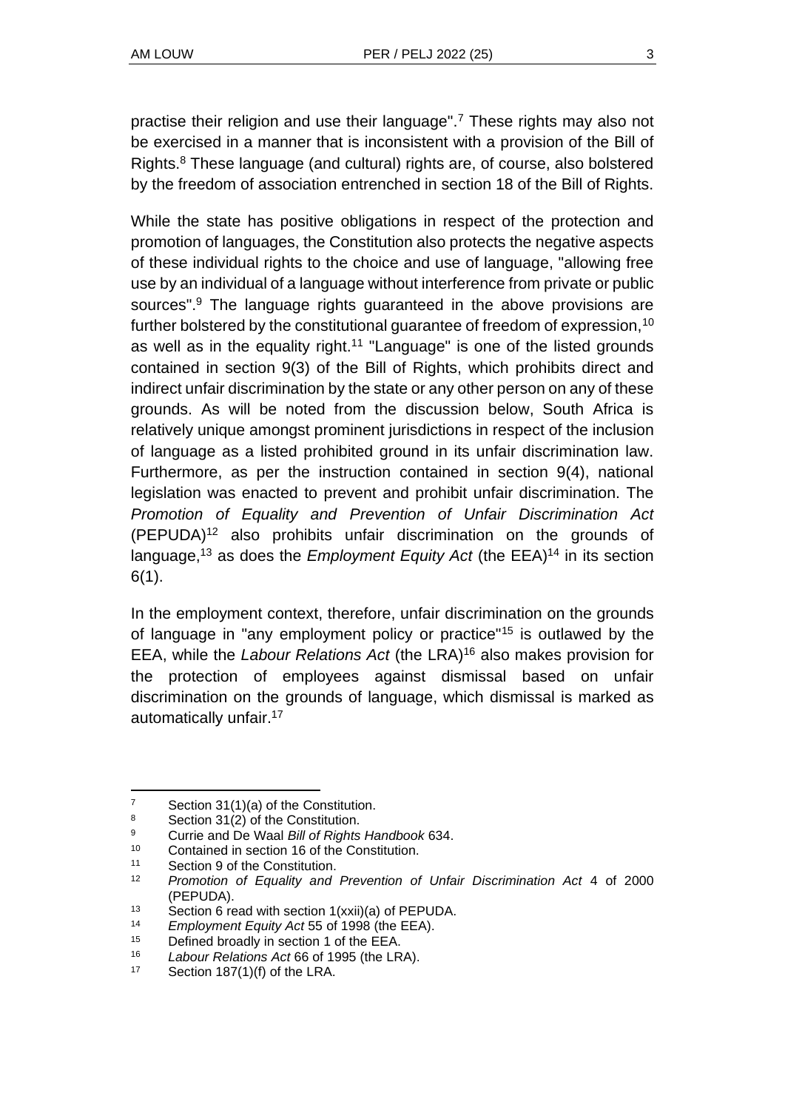practise their religion and use their language".<sup>7</sup> These rights may also not be exercised in a manner that is inconsistent with a provision of the Bill of Rights.<sup>8</sup> These language (and cultural) rights are, of course, also bolstered by the freedom of association entrenched in section 18 of the Bill of Rights.

While the state has positive obligations in respect of the protection and promotion of languages, the Constitution also protects the negative aspects of these individual rights to the choice and use of language, "allowing free use by an individual of a language without interference from private or public sources".<sup>9</sup> The language rights guaranteed in the above provisions are further bolstered by the constitutional guarantee of freedom of expression,<sup>10</sup> as well as in the equality right.<sup>11</sup> "Language" is one of the listed grounds contained in section 9(3) of the Bill of Rights, which prohibits direct and indirect unfair discrimination by the state or any other person on any of these grounds. As will be noted from the discussion below, South Africa is relatively unique amongst prominent jurisdictions in respect of the inclusion of language as a listed prohibited ground in its unfair discrimination law. Furthermore, as per the instruction contained in section 9(4), national legislation was enacted to prevent and prohibit unfair discrimination. The *Promotion of Equality and Prevention of Unfair Discrimination Act*  (PEPUDA)<sup>12</sup> also prohibits unfair discrimination on the grounds of language,<sup>13</sup> as does the *Employment Equity Act* (the EEA)<sup>14</sup> in its section 6(1).

In the employment context, therefore, unfair discrimination on the grounds of language in "any employment policy or practice"<sup>15</sup> is outlawed by the EEA, while the *Labour Relations Act* (the LRA)<sup>16</sup> also makes provision for the protection of employees against dismissal based on unfair discrimination on the grounds of language, which dismissal is marked as automatically unfair.<sup>17</sup>

<sup>&</sup>lt;sup>7</sup> Section  $31(1)(a)$  of the Constitution.

Section 31(2) of the Constitution.

<sup>9</sup> Currie and De Waal *Bill of Rights Handbook* 634.

<sup>&</sup>lt;sup>10</sup> Contained in section 16 of the Constitution.

Section 9 of the Constitution.

<sup>12</sup> *Promotion of Equality and Prevention of Unfair Discrimination Act* 4 of 2000 (PEPUDA).

<sup>13</sup> Section 6 read with section 1(xxii)(a) of PEPUDA.

<sup>14</sup> *Employment Equity Act* 55 of 1998 (the EEA).

<sup>&</sup>lt;sup>15</sup> Defined broadly in section 1 of the EEA.

<sup>&</sup>lt;sup>16</sup> *Labour Relations Act* 66 of 1995 (the LRA).<br><sup>17</sup> Section 187(1)(f) of the LBA

Section  $187(1)(f)$  of the LRA.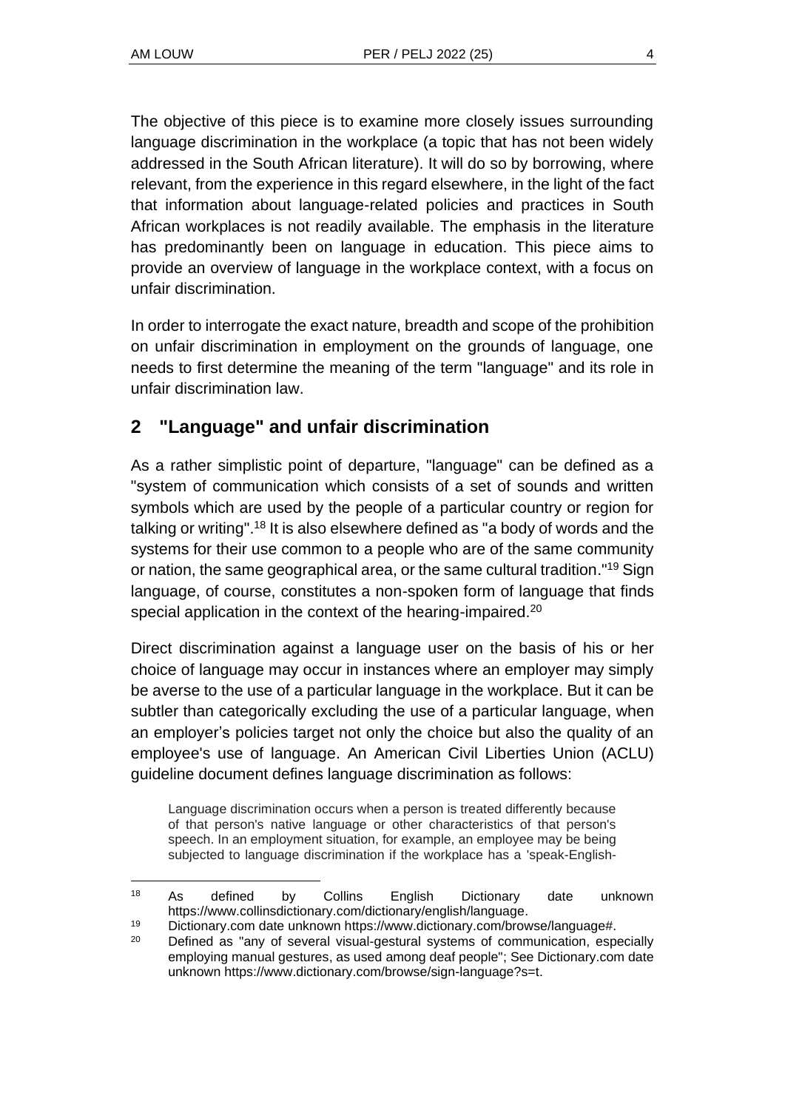The objective of this piece is to examine more closely issues surrounding language discrimination in the workplace (a topic that has not been widely addressed in the South African literature). It will do so by borrowing, where relevant, from the experience in this regard elsewhere, in the light of the fact that information about language-related policies and practices in South African workplaces is not readily available. The emphasis in the literature has predominantly been on language in education. This piece aims to provide an overview of language in the workplace context, with a focus on unfair discrimination.

In order to interrogate the exact nature, breadth and scope of the prohibition on unfair discrimination in employment on the grounds of language, one needs to first determine the meaning of the term "language" and its role in unfair discrimination law.

### **2 "Language" and unfair discrimination**

As a rather simplistic point of departure, "language" can be defined as a "system of communication which consists of a set of sounds and written symbols which are used by the people of a particular country or region for talking or writing".<sup>18</sup> It is also elsewhere defined as "a body of words and the systems for their use common to a people who are of the same community or nation, the same geographical area, or the same cultural tradition."<sup>19</sup> Sign language, of course, constitutes a non-spoken form of language that finds special application in the context of the hearing-impaired.<sup>20</sup>

Direct discrimination against a language user on the basis of his or her choice of language may occur in instances where an employer may simply be averse to the use of a particular language in the workplace. But it can be subtler than categorically excluding the use of a particular language, when an employer's policies target not only the choice but also the quality of an employee's use of language. An American Civil Liberties Union (ACLU) guideline document defines language discrimination as follows:

Language discrimination occurs when a person is treated differently because of that person's native language or other characteristics of that person's speech. In an employment situation, for example, an employee may be being subjected to language discrimination if the workplace has a 'speak-English-

<sup>18</sup> As defined by Collins English Dictionary date unknown https://www.collinsdictionary.com/dictionary/english/language.

<sup>19</sup> Dictionary.com date unknown https://www.dictionary.com/browse/language#.

<sup>&</sup>lt;sup>20</sup> Defined as "any of several visual-gestural systems of communication, especially employing manual gestures, as used among deaf people"; See Dictionary.com date unknown https://www.dictionary.com/browse/sign-language?s=t.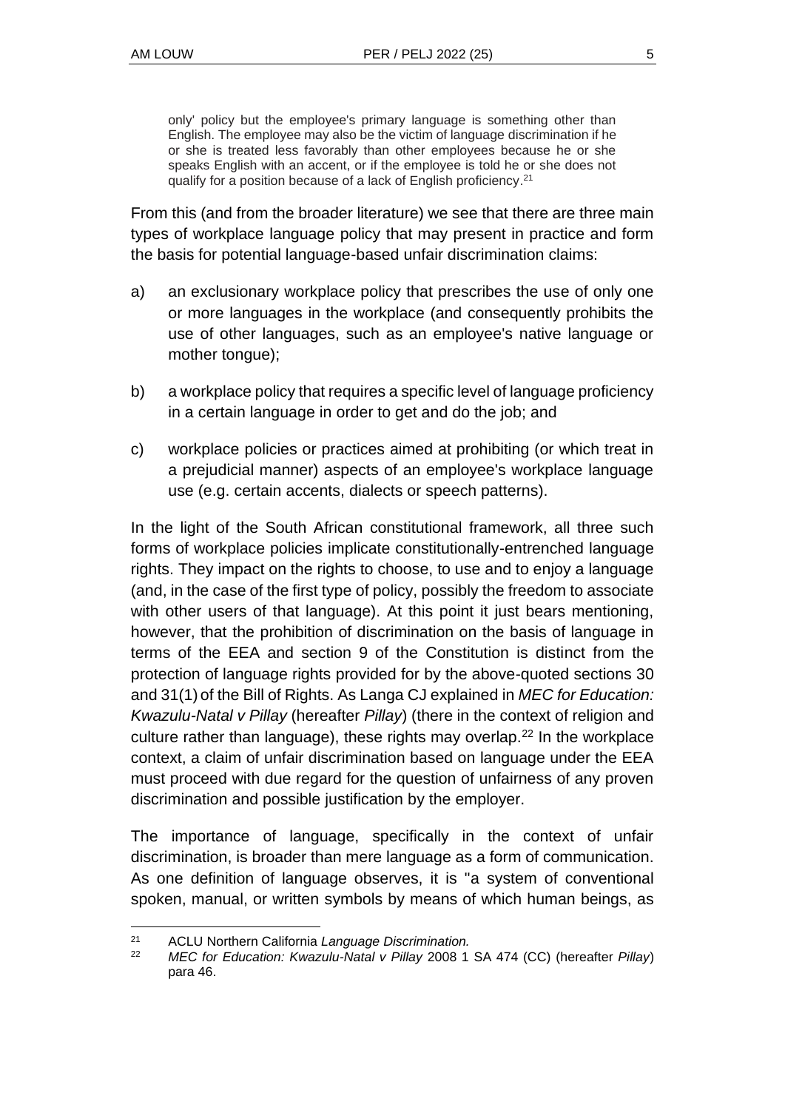only' policy but the employee's primary language is something other than English. The employee may also be the victim of language discrimination if he or she is treated less favorably than other employees because he or she speaks English with an accent, or if the employee is told he or she does not qualify for a position because of a lack of English proficiency.<sup>21</sup>

From this (and from the broader literature) we see that there are three main types of workplace language policy that may present in practice and form the basis for potential language-based unfair discrimination claims:

- a) an exclusionary workplace policy that prescribes the use of only one or more languages in the workplace (and consequently prohibits the use of other languages, such as an employee's native language or mother tongue);
- b) a workplace policy that requires a specific level of language proficiency in a certain language in order to get and do the job; and
- c) workplace policies or practices aimed at prohibiting (or which treat in a prejudicial manner) aspects of an employee's workplace language use (e.g. certain accents, dialects or speech patterns).

In the light of the South African constitutional framework, all three such forms of workplace policies implicate constitutionally-entrenched language rights. They impact on the rights to choose, to use and to enjoy a language (and, in the case of the first type of policy, possibly the freedom to associate with other users of that language). At this point it just bears mentioning, however, that the prohibition of discrimination on the basis of language in terms of the EEA and section 9 of the Constitution is distinct from the protection of language rights provided for by the above-quoted sections 30 and 31(1) of the Bill of Rights. As Langa CJ explained in *MEC for Education: Kwazulu-Natal v Pillay* (hereafter *Pillay*) (there in the context of religion and culture rather than language), these rights may overlap.<sup>22</sup> In the workplace context, a claim of unfair discrimination based on language under the EEA must proceed with due regard for the question of unfairness of any proven discrimination and possible justification by the employer.

The importance of language, specifically in the context of unfair discrimination, is broader than mere language as a form of communication. As one definition of language observes, it is "a system of conventional spoken, manual, or written symbols by means of which human beings, as

<sup>21</sup> ACLU Northern California *Language Discrimination.*

<sup>22</sup> *MEC for Education: Kwazulu-Natal v Pillay* 2008 1 SA 474 (CC) (hereafter *Pillay*) para 46.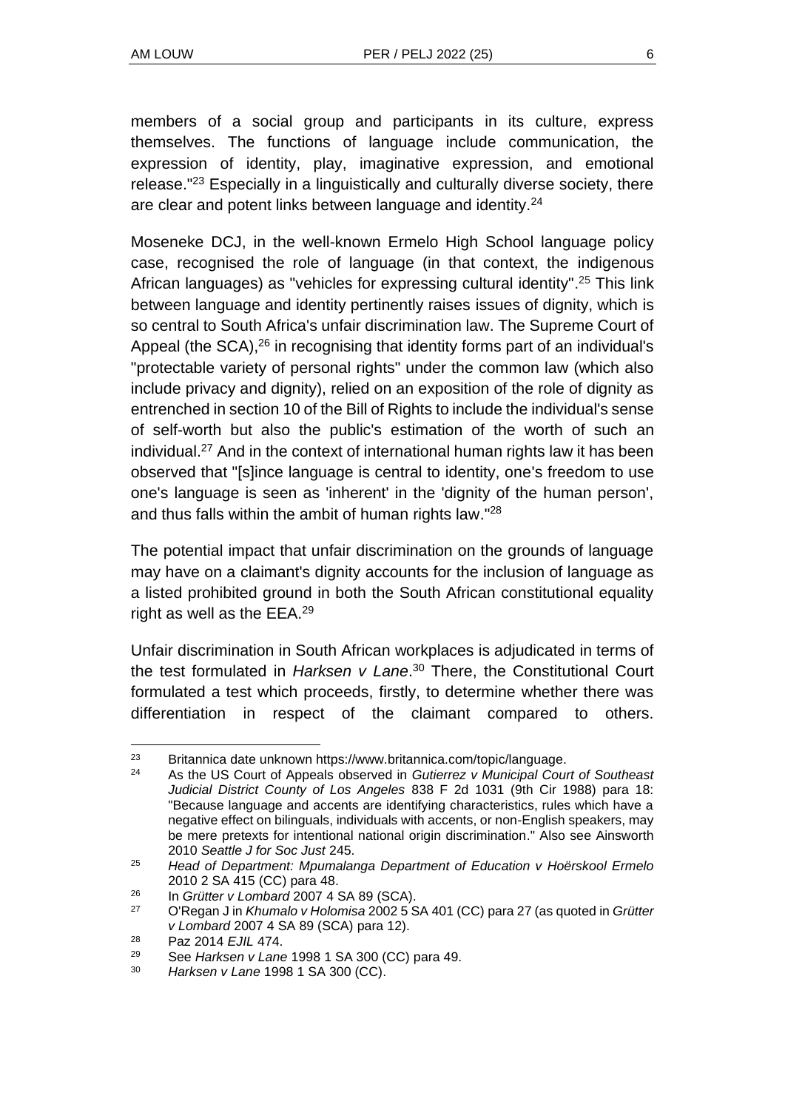members of a social group and participants in its culture, express themselves. The functions of language include communication, the expression of identity, play, imaginative expression, and emotional release."<sup>23</sup> Especially in a linguistically and culturally diverse society, there are clear and potent links between language and identity.<sup>24</sup>

Moseneke DCJ, in the well-known Ermelo High School language policy case, recognised the role of language (in that context, the indigenous African languages) as "vehicles for expressing cultural identity".<sup>25</sup> This link between language and identity pertinently raises issues of dignity, which is so central to South Africa's unfair discrimination law. The Supreme Court of Appeal (the SCA),<sup>26</sup> in recognising that identity forms part of an individual's "protectable variety of personal rights" under the common law (which also include privacy and dignity), relied on an exposition of the role of dignity as entrenched in section 10 of the Bill of Rights to include the individual's sense of self-worth but also the public's estimation of the worth of such an individual.<sup>27</sup> And in the context of international human rights law it has been observed that "[s]ince language is central to identity, one's freedom to use one's language is seen as 'inherent' in the 'dignity of the human person', and thus falls within the ambit of human rights law."<sup>28</sup>

The potential impact that unfair discrimination on the grounds of language may have on a claimant's dignity accounts for the inclusion of language as a listed prohibited ground in both the South African constitutional equality right as well as the EEA.<sup>29</sup>

Unfair discrimination in South African workplaces is adjudicated in terms of the test formulated in *Harksen v Lane*. <sup>30</sup> There, the Constitutional Court formulated a test which proceeds, firstly, to determine whether there was differentiation in respect of the claimant compared to others.

<sup>&</sup>lt;sup>23</sup> Britannica date unknown https://www.britannica.com/topic/language.<br>24 As the U.S. Court of Anneals observed in Gutierrez v Municipal Court

<sup>24</sup> As the US Court of Appeals observed in *Gutierrez v Municipal Court of Southeast Judicial District County of Los Angeles* 838 F 2d 1031 (9th Cir 1988) para 18: "Because language and accents are identifying characteristics, rules which have a negative effect on bilinguals, individuals with accents, or non-English speakers, may be mere pretexts for intentional national origin discrimination." Also see Ainsworth 2010 *Seattle J for Soc Just* 245.

<sup>25</sup> *Head of Department: Mpumalanga Department of Education v Hoërskool Ermelo*  2010 2 SA 415 (CC) para 48.

<sup>26</sup> In *Grütter v Lombard* 2007 4 SA 89 (SCA).

<sup>27</sup> O'Regan J in *Khumalo v Holomisa* 2002 5 SA 401 (CC) para 27 (as quoted in *Grütter v Lombard* 2007 4 SA 89 (SCA) para 12).

<sup>28</sup> Paz 2014 *EJIL* 474.

<sup>29</sup> See *Harksen v Lane* 1998 1 SA 300 (CC) para 49.

<sup>30</sup> *Harksen v Lane* 1998 1 SA 300 (CC).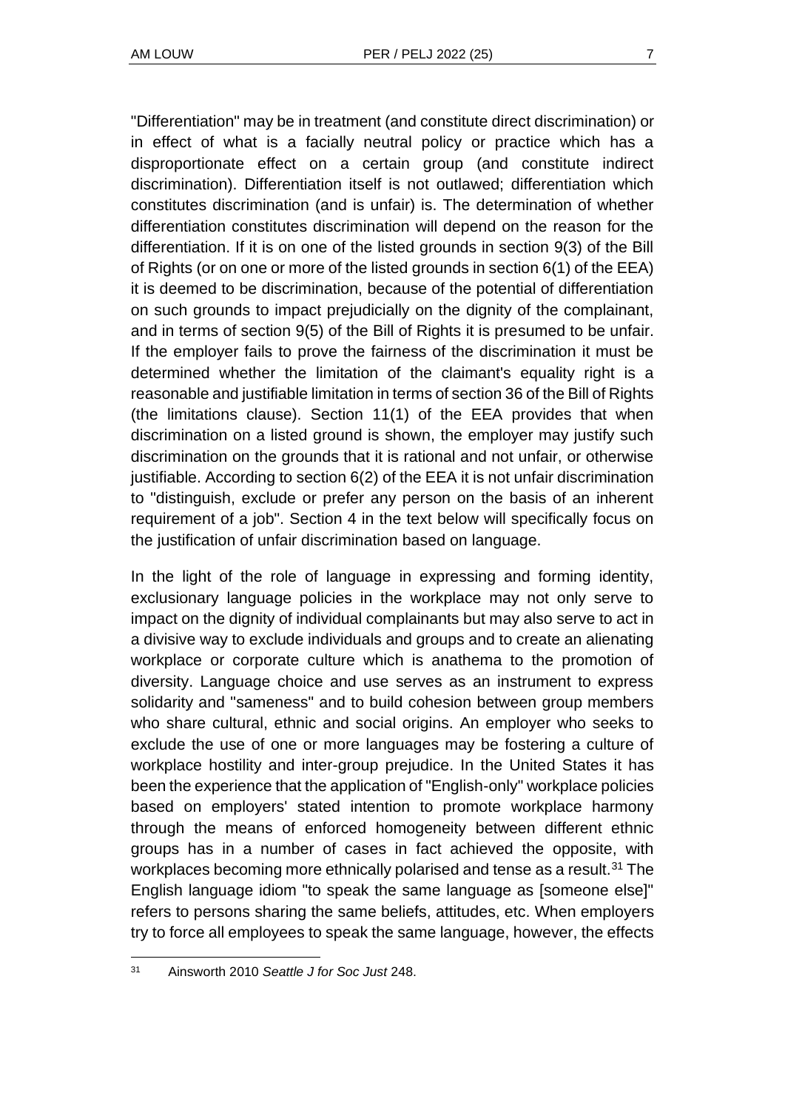"Differentiation" may be in treatment (and constitute direct discrimination) or in effect of what is a facially neutral policy or practice which has a disproportionate effect on a certain group (and constitute indirect discrimination). Differentiation itself is not outlawed; differentiation which constitutes discrimination (and is unfair) is. The determination of whether differentiation constitutes discrimination will depend on the reason for the differentiation. If it is on one of the listed grounds in section 9(3) of the Bill of Rights (or on one or more of the listed grounds in section 6(1) of the EEA) it is deemed to be discrimination, because of the potential of differentiation on such grounds to impact prejudicially on the dignity of the complainant, and in terms of section 9(5) of the Bill of Rights it is presumed to be unfair. If the employer fails to prove the fairness of the discrimination it must be determined whether the limitation of the claimant's equality right is a reasonable and justifiable limitation in terms of section 36 of the Bill of Rights (the limitations clause). Section 11(1) of the EEA provides that when discrimination on a listed ground is shown, the employer may justify such discrimination on the grounds that it is rational and not unfair, or otherwise justifiable. According to section 6(2) of the EEA it is not unfair discrimination to "distinguish, exclude or prefer any person on the basis of an inherent requirement of a job". Section 4 in the text below will specifically focus on the justification of unfair discrimination based on language.

In the light of the role of language in expressing and forming identity, exclusionary language policies in the workplace may not only serve to impact on the dignity of individual complainants but may also serve to act in a divisive way to exclude individuals and groups and to create an alienating workplace or corporate culture which is anathema to the promotion of diversity. Language choice and use serves as an instrument to express solidarity and "sameness" and to build cohesion between group members who share cultural, ethnic and social origins. An employer who seeks to exclude the use of one or more languages may be fostering a culture of workplace hostility and inter-group prejudice. In the United States it has been the experience that the application of "English-only" workplace policies based on employers' stated intention to promote workplace harmony through the means of enforced homogeneity between different ethnic groups has in a number of cases in fact achieved the opposite, with workplaces becoming more ethnically polarised and tense as a result.<sup>31</sup> The English language idiom "to speak the same language as [someone else]" refers to persons sharing the same beliefs, attitudes, etc. When employers try to force all employees to speak the same language, however, the effects

<sup>31</sup> Ainsworth 2010 *Seattle J for Soc Just* 248.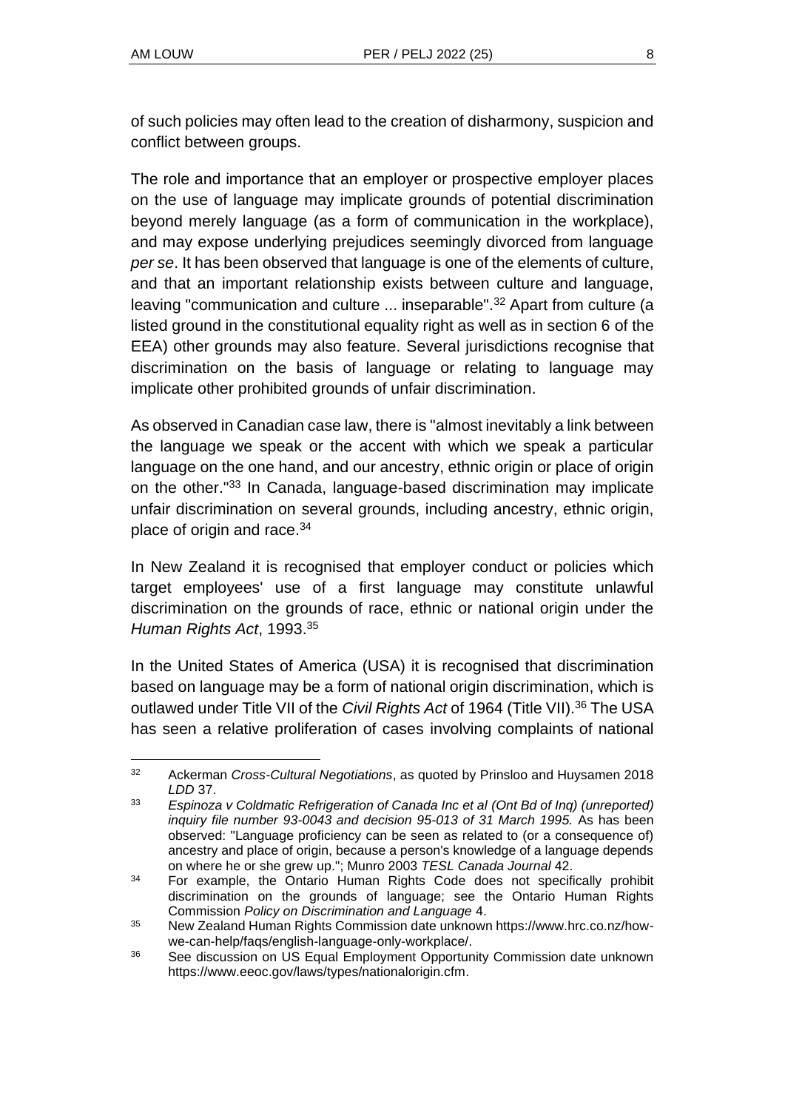of such policies may often lead to the creation of disharmony, suspicion and conflict between groups.

The role and importance that an employer or prospective employer places on the use of language may implicate grounds of potential discrimination beyond merely language (as a form of communication in the workplace), and may expose underlying prejudices seemingly divorced from language *per se*. It has been observed that language is one of the elements of culture, and that an important relationship exists between culture and language, leaving "communication and culture ... inseparable".<sup>32</sup> Apart from culture (a listed ground in the constitutional equality right as well as in section 6 of the EEA) other grounds may also feature. Several jurisdictions recognise that discrimination on the basis of language or relating to language may implicate other prohibited grounds of unfair discrimination.

As observed in Canadian case law, there is "almost inevitably a link between the language we speak or the accent with which we speak a particular language on the one hand, and our ancestry, ethnic origin or place of origin on the other."<sup>33</sup> In Canada, language-based discrimination may implicate unfair discrimination on several grounds, including ancestry, ethnic origin, place of origin and race.<sup>34</sup>

In New Zealand it is recognised that employer conduct or policies which target employees' use of a first language may constitute unlawful discrimination on the grounds of race, ethnic or national origin under the *Human Rights Act*, 1993.<sup>35</sup>

In the United States of America (USA) it is recognised that discrimination based on language may be a form of national origin discrimination, which is outlawed under Title VII of the *Civil Rights Act* of 1964 (Title VII).<sup>36</sup> The USA has seen a relative proliferation of cases involving complaints of national

<sup>32</sup> Ackerman *Cross-Cultural Negotiations*, as quoted by Prinsloo and Huysamen 2018 *LDD* 37.

<sup>33</sup> *Espinoza v Coldmatic Refrigeration of Canada Inc et al (Ont Bd of Inq) (unreported) inquiry file number 93-0043 and decision 95-013 of 31 March 1995.* As has been observed: "Language proficiency can be seen as related to (or a consequence of) ancestry and place of origin, because a person's knowledge of a language depends on where he or she grew up."; Munro 2003 *TESL Canada Journal* 42.

<sup>&</sup>lt;sup>34</sup> For example, the Ontario Human Rights Code does not specifically prohibit discrimination on the grounds of language; see the Ontario Human Rights Commission *Policy on Discrimination and Language* 4.

<sup>35</sup> New Zealand Human Rights Commission date unknown https://www.hrc.co.nz/howwe-can-help/faqs/english-language-only-workplace/.

<sup>36</sup> See discussion on US Equal Employment Opportunity Commission date unknown https://www.eeoc.gov/laws/types/nationalorigin.cfm.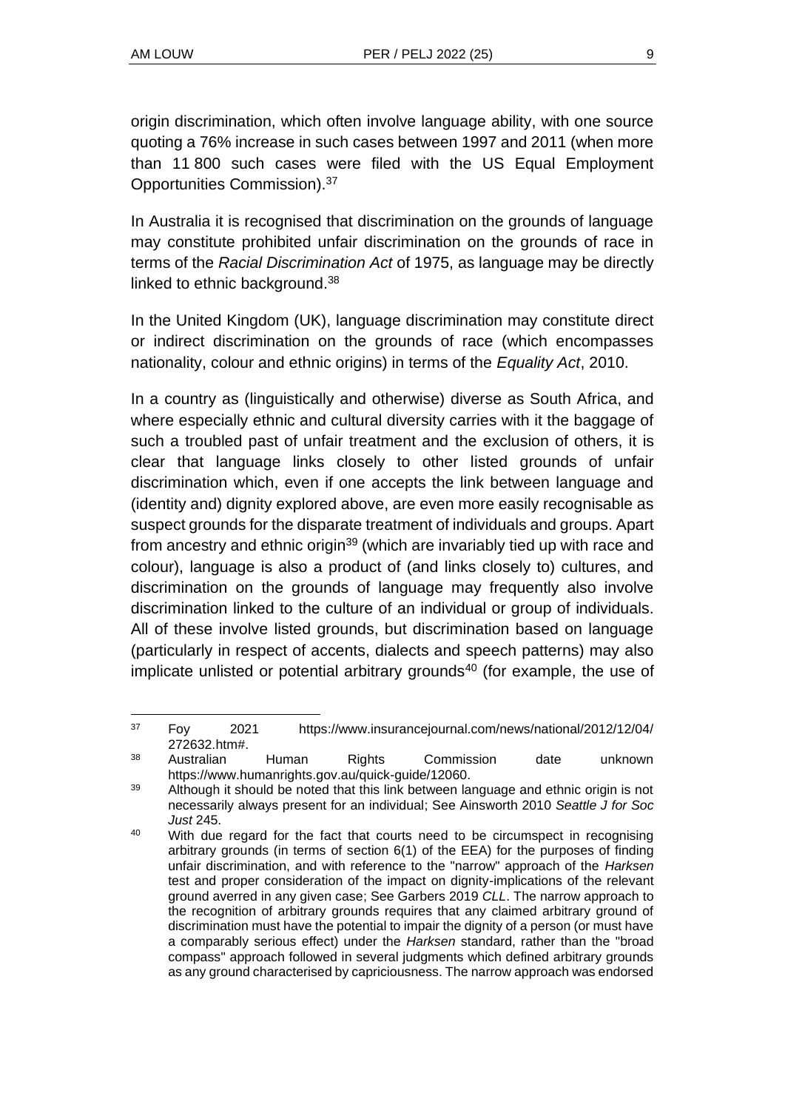origin discrimination, which often involve language ability, with one source quoting a 76% increase in such cases between 1997 and 2011 (when more than 11 800 such cases were filed with the US Equal Employment Opportunities Commission).<sup>37</sup>

In Australia it is recognised that discrimination on the grounds of language may constitute prohibited unfair discrimination on the grounds of race in terms of the *Racial Discrimination Act* of 1975, as language may be directly linked to ethnic background.<sup>38</sup>

In the United Kingdom (UK), language discrimination may constitute direct or indirect discrimination on the grounds of race (which encompasses nationality, colour and ethnic origins) in terms of the *Equality Act*, 2010.

In a country as (linguistically and otherwise) diverse as South Africa, and where especially ethnic and cultural diversity carries with it the baggage of such a troubled past of unfair treatment and the exclusion of others, it is clear that language links closely to other listed grounds of unfair discrimination which, even if one accepts the link between language and (identity and) dignity explored above, are even more easily recognisable as suspect grounds for the disparate treatment of individuals and groups. Apart from ancestry and ethnic origin<sup>39</sup> (which are invariably tied up with race and colour), language is also a product of (and links closely to) cultures, and discrimination on the grounds of language may frequently also involve discrimination linked to the culture of an individual or group of individuals. All of these involve listed grounds, but discrimination based on language (particularly in respect of accents, dialects and speech patterns) may also implicate unlisted or potential arbitrary grounds<sup>40</sup> (for example, the use of

<sup>37</sup> Foy 2021 https://www.insurancejournal.com/news/national/2012/12/04/ 272632.htm#.

<sup>38</sup> Australian Human Rights Commission date unknown https://www.humanrights.gov.au/quick-guide/12060.

<sup>&</sup>lt;sup>39</sup> Although it should be noted that this link between language and ethnic origin is not necessarily always present for an individual; See Ainsworth 2010 *Seattle J for Soc Just* 245.

<sup>&</sup>lt;sup>40</sup> With due regard for the fact that courts need to be circumspect in recognising arbitrary grounds (in terms of section 6(1) of the EEA) for the purposes of finding unfair discrimination, and with reference to the "narrow" approach of the *Harksen* test and proper consideration of the impact on dignity-implications of the relevant ground averred in any given case; See Garbers 2019 *CLL*. The narrow approach to the recognition of arbitrary grounds requires that any claimed arbitrary ground of discrimination must have the potential to impair the dignity of a person (or must have a comparably serious effect) under the *Harksen* standard, rather than the "broad compass" approach followed in several judgments which defined arbitrary grounds as any ground characterised by capriciousness. The narrow approach was endorsed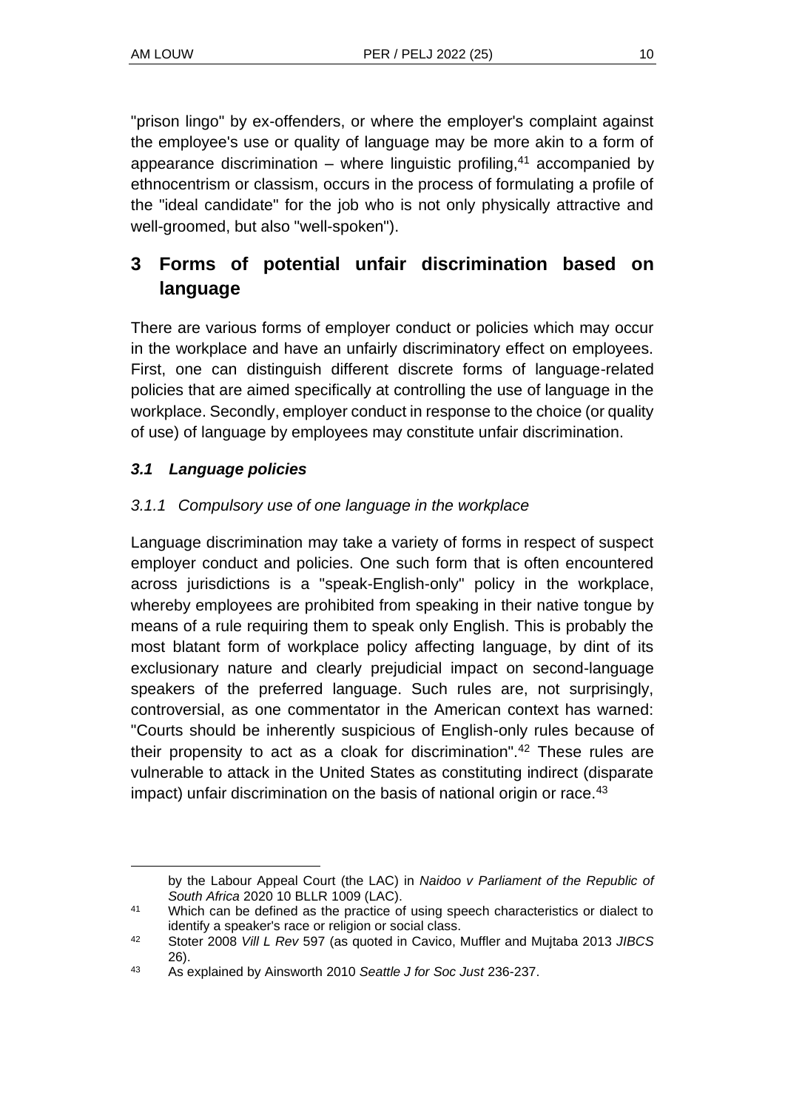"prison lingo" by ex-offenders, or where the employer's complaint against the employee's use or quality of language may be more akin to a form of appearance discrimination – where linguistic profiling, $41$  accompanied by ethnocentrism or classism, occurs in the process of formulating a profile of the "ideal candidate" for the job who is not only physically attractive and well-groomed, but also "well-spoken").

# **3 Forms of potential unfair discrimination based on language**

There are various forms of employer conduct or policies which may occur in the workplace and have an unfairly discriminatory effect on employees. First, one can distinguish different discrete forms of language-related policies that are aimed specifically at controlling the use of language in the workplace. Secondly, employer conduct in response to the choice (or quality of use) of language by employees may constitute unfair discrimination.

### *3.1 Language policies*

### *3.1.1 Compulsory use of one language in the workplace*

Language discrimination may take a variety of forms in respect of suspect employer conduct and policies. One such form that is often encountered across jurisdictions is a "speak-English-only" policy in the workplace, whereby employees are prohibited from speaking in their native tongue by means of a rule requiring them to speak only English. This is probably the most blatant form of workplace policy affecting language, by dint of its exclusionary nature and clearly prejudicial impact on second-language speakers of the preferred language. Such rules are, not surprisingly, controversial, as one commentator in the American context has warned: "Courts should be inherently suspicious of English-only rules because of their propensity to act as a cloak for discrimination".<sup>42</sup> These rules are vulnerable to attack in the United States as constituting indirect (disparate impact) unfair discrimination on the basis of national origin or race.<sup>43</sup>

by the Labour Appeal Court (the LAC) in *Naidoo v Parliament of the Republic of South Africa* 2020 10 BLLR 1009 (LAC).

<sup>41</sup> Which can be defined as the practice of using speech characteristics or dialect to identify a speaker's race or religion or social class.

<sup>42</sup> Stoter 2008 *Vill L Rev* 597 (as quoted in Cavico, Muffler and Mujtaba 2013 *JIBCS* 26).

<sup>43</sup> As explained by Ainsworth 2010 *Seattle J for Soc Just* 236-237.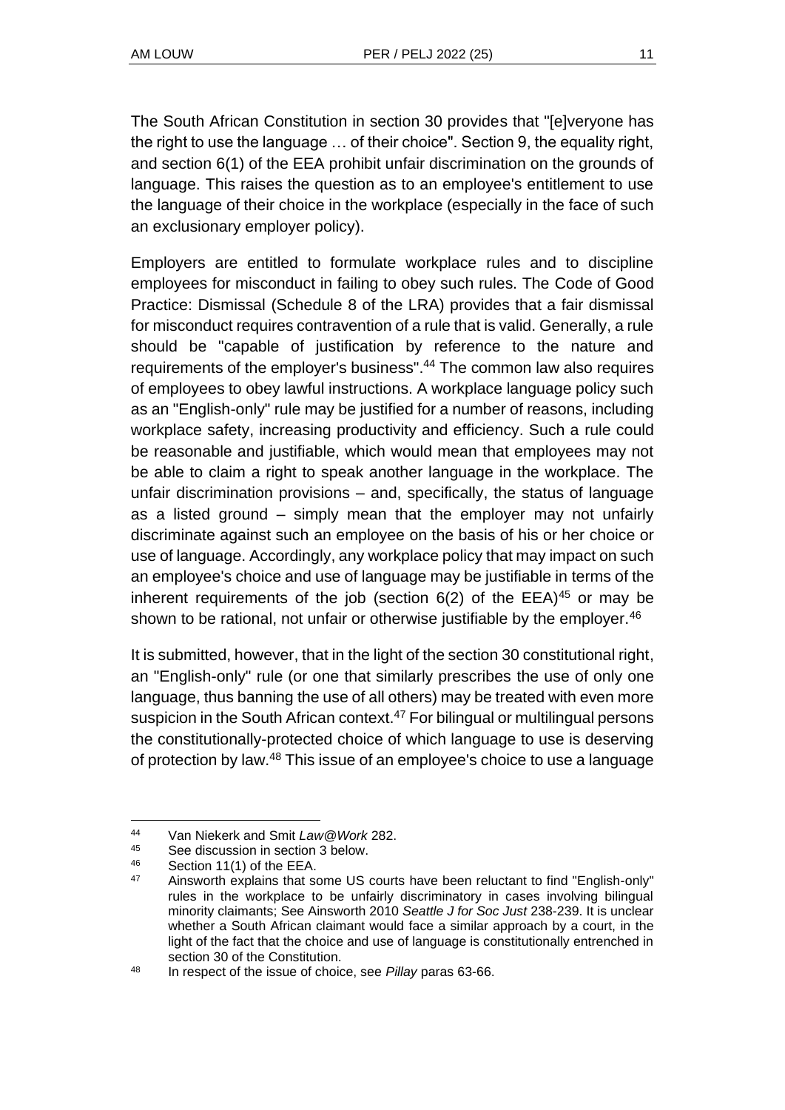The South African Constitution in section 30 provides that "[e]veryone has the right to use the language … of their choice". Section 9, the equality right, and section 6(1) of the EEA prohibit unfair discrimination on the grounds of language. This raises the question as to an employee's entitlement to use the language of their choice in the workplace (especially in the face of such an exclusionary employer policy).

Employers are entitled to formulate workplace rules and to discipline employees for misconduct in failing to obey such rules. The Code of Good Practice: Dismissal (Schedule 8 of the LRA) provides that a fair dismissal for misconduct requires contravention of a rule that is valid. Generally, a rule should be "capable of justification by reference to the nature and requirements of the employer's business".<sup>44</sup> The common law also requires of employees to obey lawful instructions. A workplace language policy such as an "English-only" rule may be justified for a number of reasons, including workplace safety, increasing productivity and efficiency. Such a rule could be reasonable and justifiable, which would mean that employees may not be able to claim a right to speak another language in the workplace. The unfair discrimination provisions – and, specifically, the status of language as a listed ground – simply mean that the employer may not unfairly discriminate against such an employee on the basis of his or her choice or use of language. Accordingly, any workplace policy that may impact on such an employee's choice and use of language may be justifiable in terms of the inherent requirements of the job (section  $6(2)$  of the EEA)<sup>45</sup> or may be shown to be rational, not unfair or otherwise justifiable by the employer.<sup>46</sup>

It is submitted, however, that in the light of the section 30 constitutional right, an "English-only" rule (or one that similarly prescribes the use of only one language, thus banning the use of all others) may be treated with even more suspicion in the South African context.<sup>47</sup> For bilingual or multilingual persons the constitutionally-protected choice of which language to use is deserving of protection by law.<sup>48</sup> This issue of an employee's choice to use a language

<sup>44</sup> Van Niekerk and Smit *Law@Work* 282.

<sup>45</sup> See discussion in section 3 below.<br>46 Section 11(1) of the EEA

 $^{46}$  Section 11(1) of the EEA.<br> $^{47}$  Ainquarth ovalogs that a

Ainsworth explains that some US courts have been reluctant to find "English-only" rules in the workplace to be unfairly discriminatory in cases involving bilingual minority claimants; See Ainsworth 2010 *Seattle J for Soc Just* 238-239. It is unclear whether a South African claimant would face a similar approach by a court, in the light of the fact that the choice and use of language is constitutionally entrenched in section 30 of the Constitution.

<sup>48</sup> In respect of the issue of choice, see *Pillay* paras 63-66.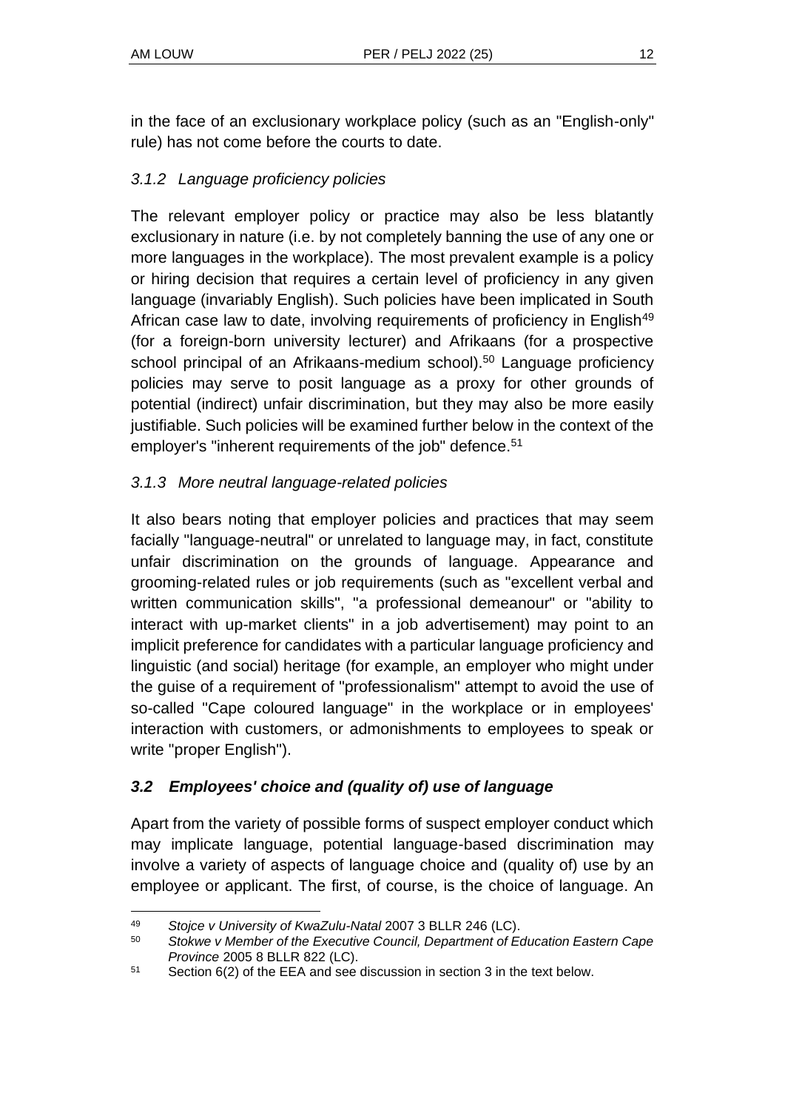in the face of an exclusionary workplace policy (such as an "English-only" rule) has not come before the courts to date.

### *3.1.2 Language proficiency policies*

The relevant employer policy or practice may also be less blatantly exclusionary in nature (i.e. by not completely banning the use of any one or more languages in the workplace). The most prevalent example is a policy or hiring decision that requires a certain level of proficiency in any given language (invariably English). Such policies have been implicated in South African case law to date, involving requirements of proficiency in English<sup>49</sup> (for a foreign-born university lecturer) and Afrikaans (for a prospective school principal of an Afrikaans-medium school).<sup>50</sup> Language proficiency policies may serve to posit language as a proxy for other grounds of potential (indirect) unfair discrimination, but they may also be more easily justifiable. Such policies will be examined further below in the context of the employer's "inherent requirements of the job" defence.<sup>51</sup>

### *3.1.3 More neutral language-related policies*

It also bears noting that employer policies and practices that may seem facially "language-neutral" or unrelated to language may, in fact, constitute unfair discrimination on the grounds of language. Appearance and grooming-related rules or job requirements (such as "excellent verbal and written communication skills", "a professional demeanour" or "ability to interact with up-market clients" in a job advertisement) may point to an implicit preference for candidates with a particular language proficiency and linguistic (and social) heritage (for example, an employer who might under the guise of a requirement of "professionalism" attempt to avoid the use of so-called "Cape coloured language" in the workplace or in employees' interaction with customers, or admonishments to employees to speak or write "proper English").

### *3.2 Employees' choice and (quality of) use of language*

Apart from the variety of possible forms of suspect employer conduct which may implicate language, potential language-based discrimination may involve a variety of aspects of language choice and (quality of) use by an employee or applicant. The first, of course, is the choice of language. An

<sup>49</sup> *Stojce v University of KwaZulu-Natal* 2007 3 BLLR 246 (LC).

<sup>50</sup> *Stokwe v Member of the Executive Council, Department of Education Eastern Cape Province* 2005 8 BLLR 822 (LC).

<sup>51</sup> Section 6(2) of the EEA and see discussion in section 3 in the text below.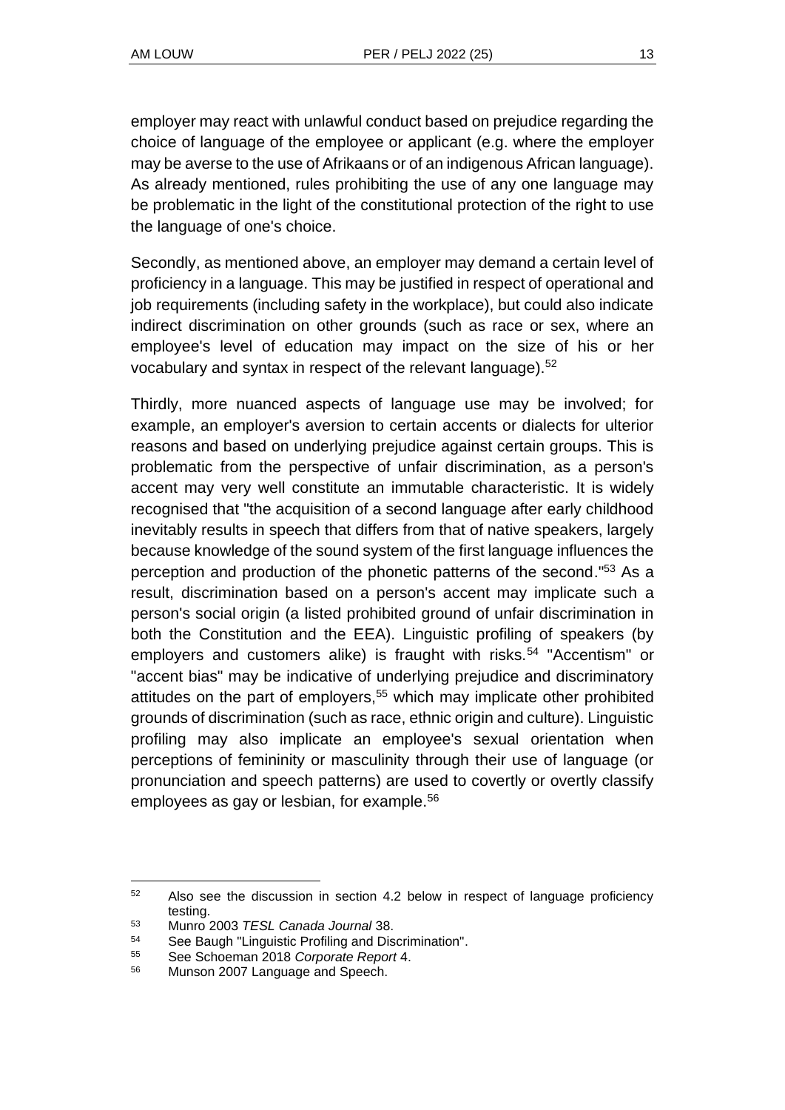employer may react with unlawful conduct based on prejudice regarding the choice of language of the employee or applicant (e.g. where the employer may be averse to the use of Afrikaans or of an indigenous African language). As already mentioned, rules prohibiting the use of any one language may be problematic in the light of the constitutional protection of the right to use the language of one's choice.

Secondly, as mentioned above, an employer may demand a certain level of proficiency in a language. This may be justified in respect of operational and job requirements (including safety in the workplace), but could also indicate indirect discrimination on other grounds (such as race or sex, where an employee's level of education may impact on the size of his or her vocabulary and syntax in respect of the relevant language).<sup>52</sup>

Thirdly, more nuanced aspects of language use may be involved; for example, an employer's aversion to certain accents or dialects for ulterior reasons and based on underlying prejudice against certain groups. This is problematic from the perspective of unfair discrimination, as a person's accent may very well constitute an immutable characteristic. It is widely recognised that "the acquisition of a second language after early childhood inevitably results in speech that differs from that of native speakers, largely because knowledge of the sound system of the first language influences the perception and production of the phonetic patterns of the second."<sup>53</sup> As a result, discrimination based on a person's accent may implicate such a person's social origin (a listed prohibited ground of unfair discrimination in both the Constitution and the EEA). Linguistic profiling of speakers (by employers and customers alike) is fraught with risks.<sup>54</sup> "Accentism" or "accent bias" may be indicative of underlying prejudice and discriminatory attitudes on the part of employers,<sup>55</sup> which may implicate other prohibited grounds of discrimination (such as race, ethnic origin and culture). Linguistic profiling may also implicate an employee's sexual orientation when perceptions of femininity or masculinity through their use of language (or pronunciation and speech patterns) are used to covertly or overtly classify employees as gay or lesbian, for example.<sup>56</sup>

<sup>52</sup> Also see the discussion in section 4.2 below in respect of language proficiency testing.

<sup>53</sup> Munro 2003 *TESL Canada Journal* 38.

<sup>54</sup> See Baugh "Linguistic Profiling and Discrimination".

<sup>55</sup> See Schoeman 2018 *Corporate Report* 4.

<sup>56</sup> Munson 2007 Language and Speech.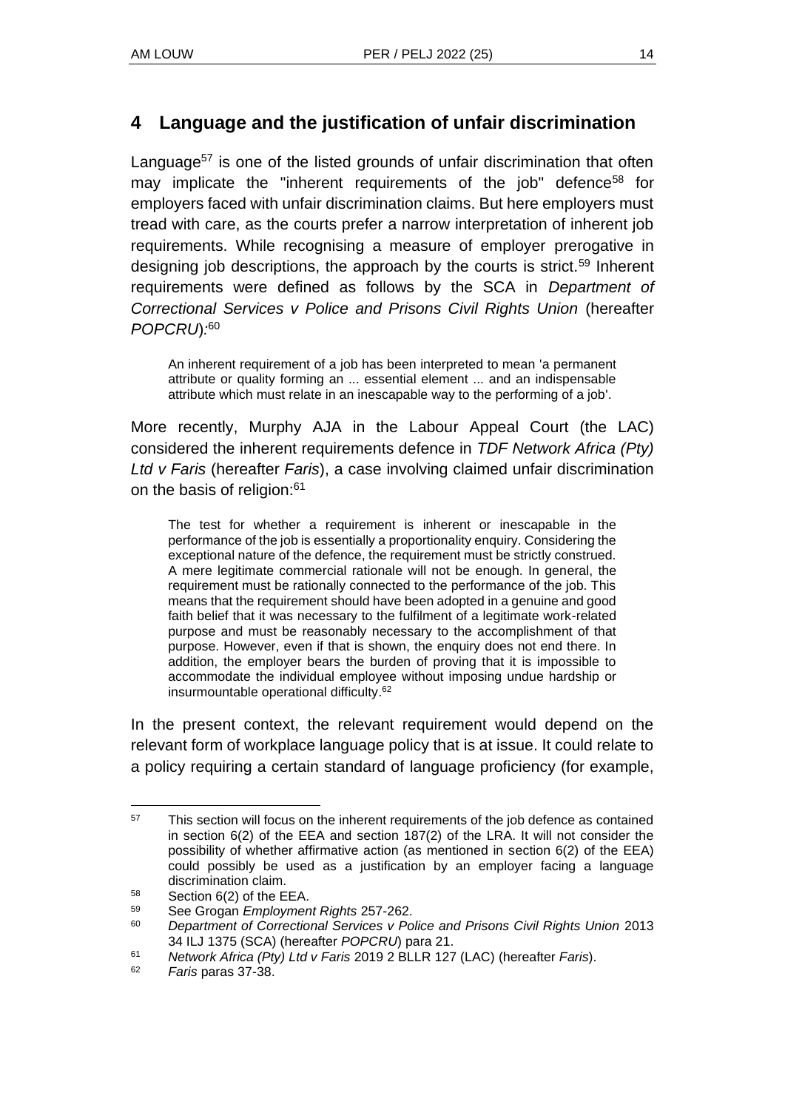### **4 Language and the justification of unfair discrimination**

Language<sup>57</sup> is one of the listed grounds of unfair discrimination that often may implicate the "inherent requirements of the job" defence<sup>58</sup> for employers faced with unfair discrimination claims. But here employers must tread with care, as the courts prefer a narrow interpretation of inherent job requirements. While recognising a measure of employer prerogative in designing job descriptions, the approach by the courts is strict.<sup>59</sup> Inherent requirements were defined as follows by the SCA in *Department of Correctional Services v Police and Prisons Civil Rights Union* (hereafter *POPCRU*)*:* 60

An inherent requirement of a job has been interpreted to mean 'a permanent attribute or quality forming an ... essential element ... and an indispensable attribute which must relate in an inescapable way to the performing of a job'.

More recently, Murphy AJA in the Labour Appeal Court (the LAC) considered the inherent requirements defence in *TDF Network Africa (Pty) Ltd v Faris* (hereafter *Faris*), a case involving claimed unfair discrimination on the basis of religion: 61

The test for whether a requirement is inherent or inescapable in the performance of the job is essentially a proportionality enquiry. Considering the exceptional nature of the defence, the requirement must be strictly construed. A mere legitimate commercial rationale will not be enough. In general, the requirement must be rationally connected to the performance of the job. This means that the requirement should have been adopted in a genuine and good faith belief that it was necessary to the fulfilment of a legitimate work-related purpose and must be reasonably necessary to the accomplishment of that purpose. However, even if that is shown, the enquiry does not end there. In addition, the employer bears the burden of proving that it is impossible to accommodate the individual employee without imposing undue hardship or insurmountable operational difficulty. 62

In the present context, the relevant requirement would depend on the relevant form of workplace language policy that is at issue. It could relate to a policy requiring a certain standard of language proficiency (for example,

 $57$  This section will focus on the inherent requirements of the job defence as contained in section 6(2) of the EEA and section 187(2) of the LRA. It will not consider the possibility of whether affirmative action (as mentioned in section 6(2) of the EEA) could possibly be used as a justification by an employer facing a language discrimination claim.

<sup>58</sup> Section 6(2) of the EEA.

<sup>59</sup> See Grogan *Employment Rights* 257-262.

<sup>60</sup> *Department of Correctional Services v Police and Prisons Civil Rights Union* 2013 34 ILJ 1375 (SCA) (hereafter *POPCRU*) para 21.

<sup>61</sup> *Network Africa (Pty) Ltd v Faris* 2019 2 BLLR 127 (LAC) (hereafter *Faris*).

<sup>62</sup> *Faris* paras 37-38.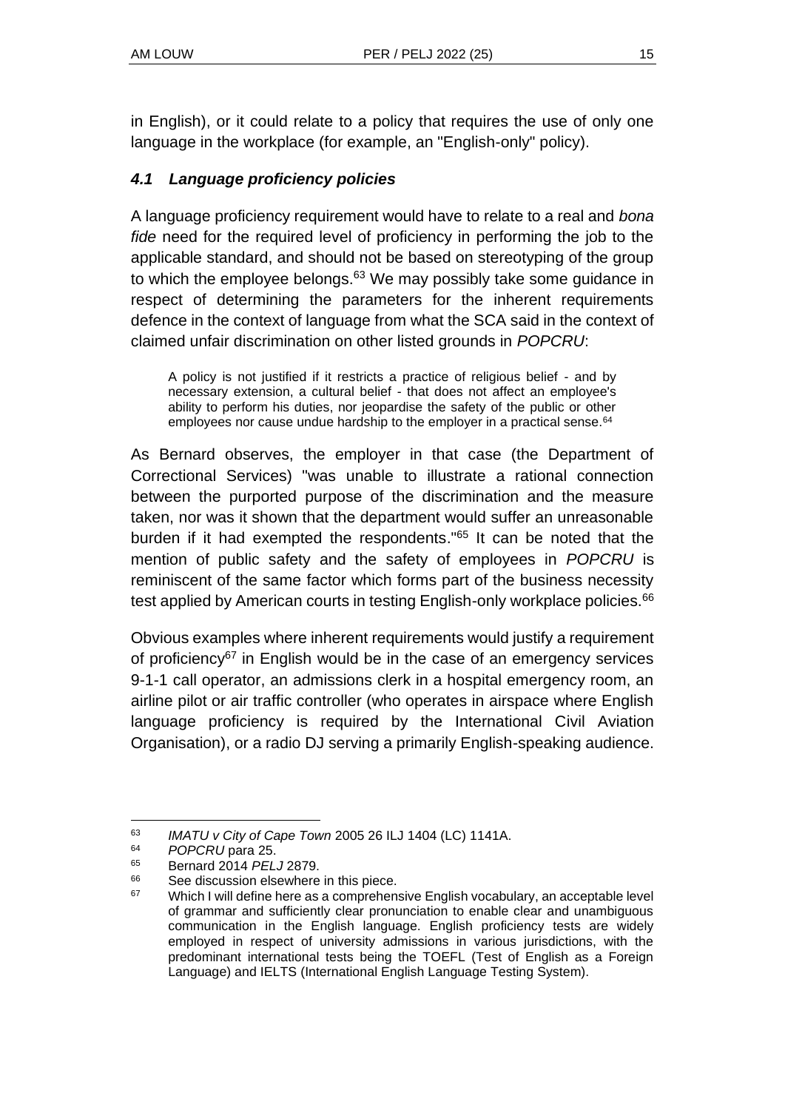in English), or it could relate to a policy that requires the use of only one language in the workplace (for example, an "English-only" policy).

### *4.1 Language proficiency policies*

A language proficiency requirement would have to relate to a real and *bona fide* need for the required level of proficiency in performing the job to the applicable standard, and should not be based on stereotyping of the group to which the employee belongs. $63$  We may possibly take some guidance in respect of determining the parameters for the inherent requirements defence in the context of language from what the SCA said in the context of claimed unfair discrimination on other listed grounds in *POPCRU*:

A policy is not justified if it restricts a practice of religious belief - and by necessary extension, a cultural belief - that does not affect an employee's ability to perform his duties, nor jeopardise the safety of the public or other employees nor cause undue hardship to the employer in a practical sense.<sup>64</sup>

As Bernard observes, the employer in that case (the Department of Correctional Services) "was unable to illustrate a rational connection between the purported purpose of the discrimination and the measure taken, nor was it shown that the department would suffer an unreasonable burden if it had exempted the respondents." <sup>65</sup> It can be noted that the mention of public safety and the safety of employees in *POPCRU* is reminiscent of the same factor which forms part of the business necessity test applied by American courts in testing English-only workplace policies.<sup>66</sup>

Obvious examples where inherent requirements would justify a requirement of proficiency<sup>67</sup> in English would be in the case of an emergency services 9-1-1 call operator, an admissions clerk in a hospital emergency room, an airline pilot or air traffic controller (who operates in airspace where English language proficiency is required by the International Civil Aviation Organisation), or a radio DJ serving a primarily English-speaking audience.

<sup>63</sup> *IMATU v City of Cape Town* 2005 26 ILJ 1404 (LC) 1141A.

<sup>64</sup> *POPCRU* para 25.

<sup>65</sup> Bernard 2014 *PELJ* 2879.

See discussion elsewhere in this piece.

 $67$  Which I will define here as a comprehensive English vocabulary, an acceptable level of grammar and sufficiently clear pronunciation to enable clear and unambiguous communication in the English language. English proficiency tests are widely employed in respect of university admissions in various jurisdictions, with the predominant international tests being the TOEFL (Test of English as a Foreign Language) and IELTS (International English Language Testing System).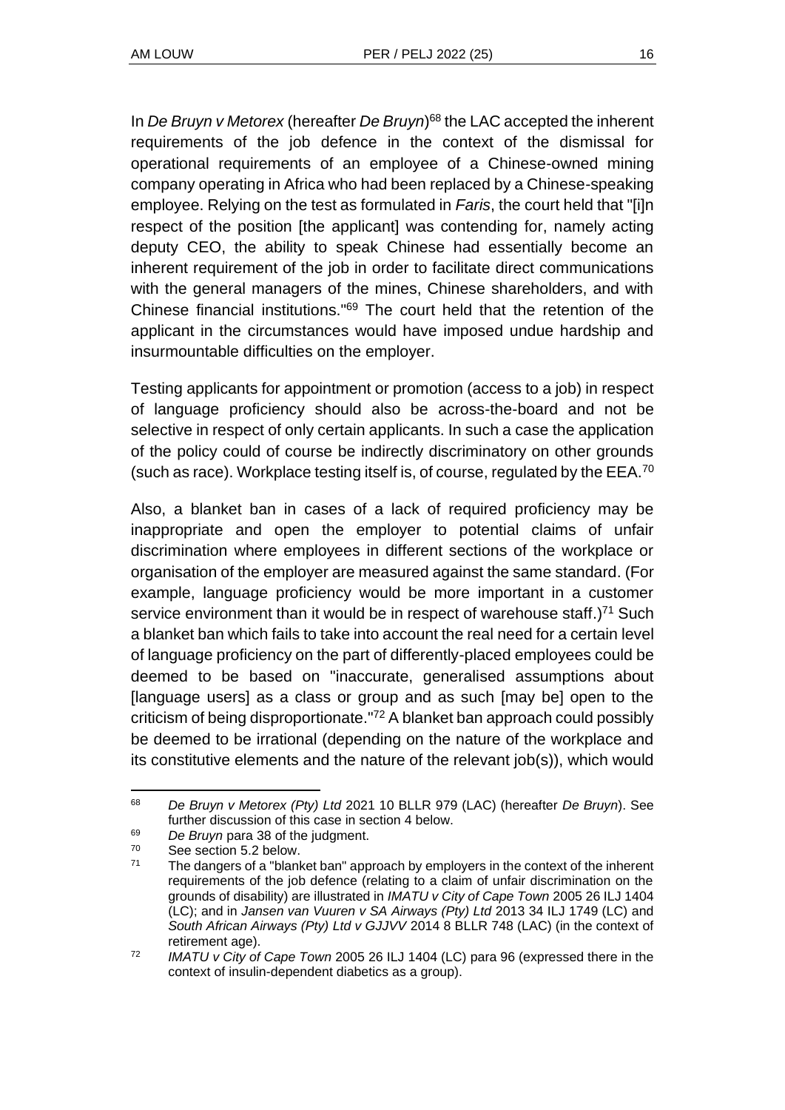In *De Bruyn v Metorex* (hereafter *De Bruyn*) <sup>68</sup> the LAC accepted the inherent requirements of the job defence in the context of the dismissal for operational requirements of an employee of a Chinese-owned mining company operating in Africa who had been replaced by a Chinese-speaking employee. Relying on the test as formulated in *Faris*, the court held that "[i]n respect of the position [the applicant] was contending for, namely acting deputy CEO, the ability to speak Chinese had essentially become an inherent requirement of the job in order to facilitate direct communications with the general managers of the mines, Chinese shareholders, and with Chinese financial institutions." <sup>69</sup> The court held that the retention of the applicant in the circumstances would have imposed undue hardship and insurmountable difficulties on the employer.

Testing applicants for appointment or promotion (access to a job) in respect of language proficiency should also be across-the-board and not be selective in respect of only certain applicants. In such a case the application of the policy could of course be indirectly discriminatory on other grounds (such as race). Workplace testing itself is, of course, regulated by the EEA.<sup>70</sup>

Also, a blanket ban in cases of a lack of required proficiency may be inappropriate and open the employer to potential claims of unfair discrimination where employees in different sections of the workplace or organisation of the employer are measured against the same standard. (For example, language proficiency would be more important in a customer service environment than it would be in respect of warehouse staff.)<sup>71</sup> Such a blanket ban which fails to take into account the real need for a certain level of language proficiency on the part of differently-placed employees could be deemed to be based on "inaccurate, generalised assumptions about [language users] as a class or group and as such [may be] open to the criticism of being disproportionate." <sup>72</sup> A blanket ban approach could possibly be deemed to be irrational (depending on the nature of the workplace and its constitutive elements and the nature of the relevant job(s)), which would

 $^{69}$  *De Bruyn* para 38 of the judgment.<br> $^{70}$  See section 5.2 below.

<sup>68</sup> *De Bruyn v Metorex (Pty) Ltd* 2021 10 BLLR 979 (LAC) (hereafter *De Bruyn*). See further discussion of this case in section 4 below.

 $70$  See section 5.2 below.

The dangers of a "blanket ban" approach by employers in the context of the inherent requirements of the job defence (relating to a claim of unfair discrimination on the grounds of disability) are illustrated in *IMATU v City of Cape Town* 2005 26 ILJ 1404 (LC); and in *Jansen van Vuuren v SA Airways (Pty) Ltd* 2013 34 ILJ 1749 (LC) and *South African Airways (Pty) Ltd v GJJVV* 2014 8 BLLR 748 (LAC) (in the context of retirement age).

<sup>72</sup> *IMATU v City of Cape Town* 2005 26 ILJ 1404 (LC) para 96 (expressed there in the context of insulin-dependent diabetics as a group).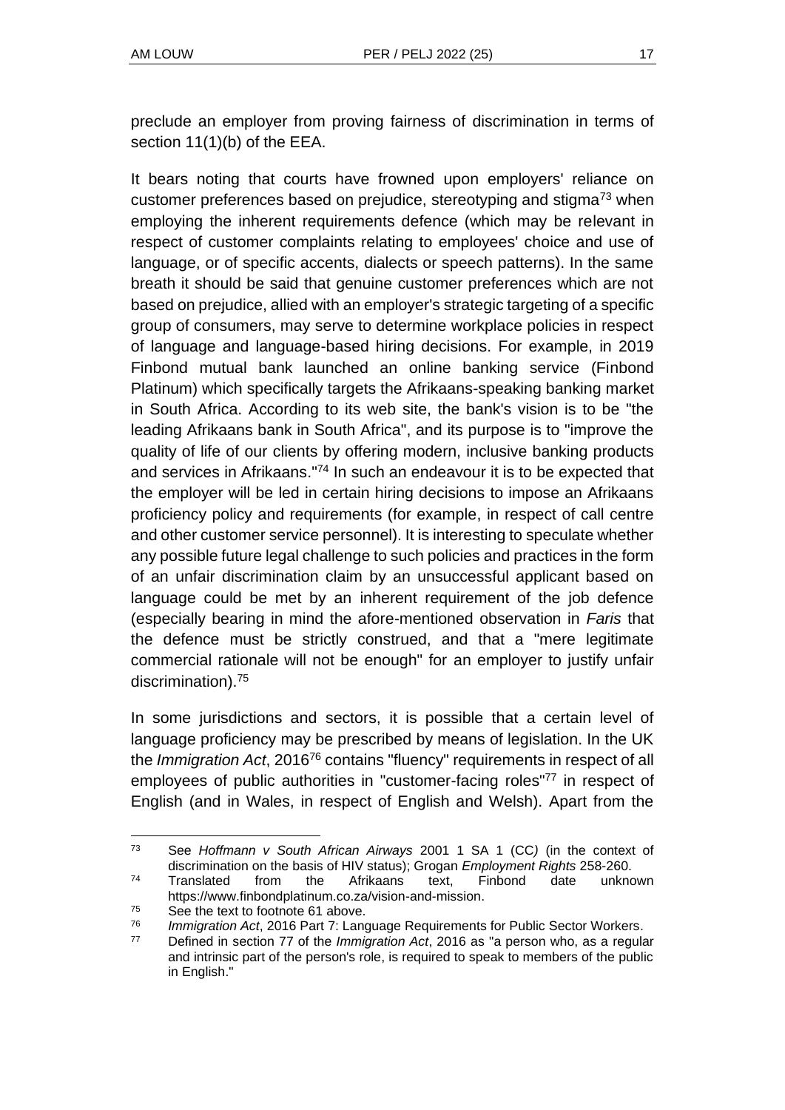preclude an employer from proving fairness of discrimination in terms of section 11(1)(b) of the EEA.

It bears noting that courts have frowned upon employers' reliance on customer preferences based on prejudice, stereotyping and stigma<sup>73</sup> when employing the inherent requirements defence (which may be relevant in respect of customer complaints relating to employees' choice and use of language, or of specific accents, dialects or speech patterns). In the same breath it should be said that genuine customer preferences which are not based on prejudice, allied with an employer's strategic targeting of a specific group of consumers, may serve to determine workplace policies in respect of language and language-based hiring decisions. For example, in 2019 Finbond mutual bank launched an online banking service (Finbond Platinum) which specifically targets the Afrikaans-speaking banking market in South Africa. According to its web site, the bank's vision is to be "the leading Afrikaans bank in South Africa", and its purpose is to "improve the quality of life of our clients by offering modern, inclusive banking products and services in Afrikaans." <sup>74</sup> In such an endeavour it is to be expected that the employer will be led in certain hiring decisions to impose an Afrikaans proficiency policy and requirements (for example, in respect of call centre and other customer service personnel). It is interesting to speculate whether any possible future legal challenge to such policies and practices in the form of an unfair discrimination claim by an unsuccessful applicant based on language could be met by an inherent requirement of the job defence (especially bearing in mind the afore-mentioned observation in *Faris* that the defence must be strictly construed, and that a "mere legitimate commercial rationale will not be enough" for an employer to justify unfair discrimination).<sup>75</sup>

In some jurisdictions and sectors, it is possible that a certain level of language proficiency may be prescribed by means of legislation. In the UK the *Immigration Act*, 2016<sup>76</sup> contains "fluency" requirements in respect of all employees of public authorities in "customer-facing roles"<sup>77</sup> in respect of English (and in Wales, in respect of English and Welsh). Apart from the

<sup>73</sup> See *Hoffmann v South African Airways* 2001 1 SA 1 (CC*)* (in the context of discrimination on the basis of HIV status); Grogan *Employment Rights* 258-260.

<sup>74</sup> Translated from the Afrikaans text, Finbond date unknown https://www.finbondplatinum.co.za/vision-and-mission.

<sup>&</sup>lt;sup>75</sup> See the text to footnote 61 above.

<sup>76</sup> *Immigration Act*, 2016 Part 7: Language Requirements for Public Sector Workers.

<sup>77</sup> Defined in section 77 of the *Immigration Act*, 2016 as "a person who, as a regular and intrinsic part of the person's role, is required to speak to members of the public in English."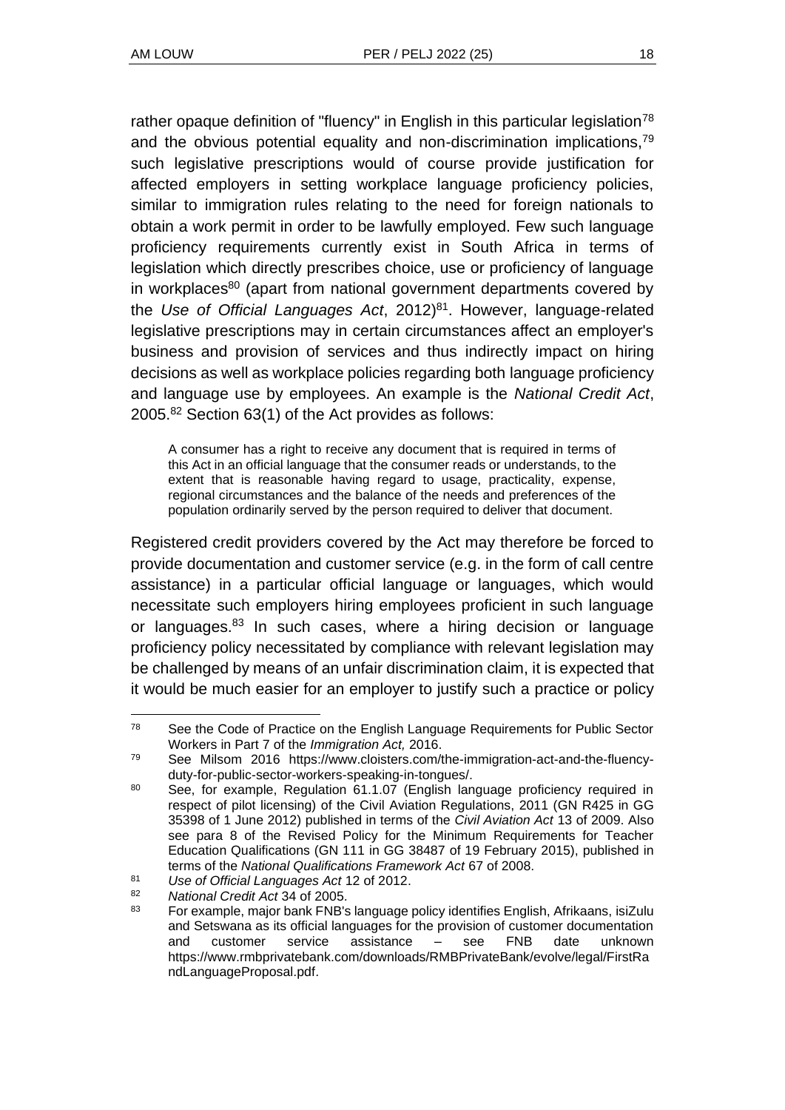rather opaque definition of "fluency" in English in this particular legislation<sup>78</sup> and the obvious potential equality and non-discrimination implications,<sup>79</sup> such legislative prescriptions would of course provide justification for affected employers in setting workplace language proficiency policies, similar to immigration rules relating to the need for foreign nationals to obtain a work permit in order to be lawfully employed. Few such language proficiency requirements currently exist in South Africa in terms of legislation which directly prescribes choice, use or proficiency of language in workplaces<sup>80</sup> (apart from national government departments covered by the *Use of Official Languages Act*, 2012)<sup>81</sup>. However, language-related legislative prescriptions may in certain circumstances affect an employer's business and provision of services and thus indirectly impact on hiring decisions as well as workplace policies regarding both language proficiency and language use by employees. An example is the *National Credit Act*, 2005.<sup>82</sup> Section 63(1) of the Act provides as follows:

A consumer has a right to receive any document that is required in terms of this Act in an official language that the consumer reads or understands, to the extent that is reasonable having regard to usage, practicality, expense, regional circumstances and the balance of the needs and preferences of the population ordinarily served by the person required to deliver that document.

Registered credit providers covered by the Act may therefore be forced to provide documentation and customer service (e.g. in the form of call centre assistance) in a particular official language or languages, which would necessitate such employers hiring employees proficient in such language or languages.<sup>83</sup> In such cases, where a hiring decision or language proficiency policy necessitated by compliance with relevant legislation may be challenged by means of an unfair discrimination claim, it is expected that it would be much easier for an employer to justify such a practice or policy

<sup>&</sup>lt;sup>78</sup> See the Code of Practice on the English Language Requirements for Public Sector Workers in Part 7 of the *Immigration Act,* 2016.

<sup>79</sup> See Milsom 2016 https://www.cloisters.com/the-immigration-act-and-the-fluencyduty-for-public-sector-workers-speaking-in-tongues/.

<sup>80</sup> See, for example, Regulation 61.1.07 (English language proficiency required in respect of pilot licensing) of the Civil Aviation Regulations, 2011 (GN R425 in GG 35398 of 1 June 2012) published in terms of the *Civil Aviation Act* 13 of 2009. Also see para 8 of the Revised Policy for the Minimum Requirements for Teacher Education Qualifications (GN 111 in GG 38487 of 19 February 2015), published in terms of the *National Qualifications Framework Act* 67 of 2008.

<sup>81</sup> *Use of Official Languages Act* 12 of 2012.

<sup>82</sup> *National Credit Act* 34 of 2005.

<sup>83</sup> For example, major bank FNB's language policy identifies English, Afrikaans, isiZulu and Setswana as its official languages for the provision of customer documentation and customer service assistance – see FNB date unknown https://www.rmbprivatebank.com/downloads/RMBPrivateBank/evolve/legal/FirstRa ndLanguageProposal.pdf.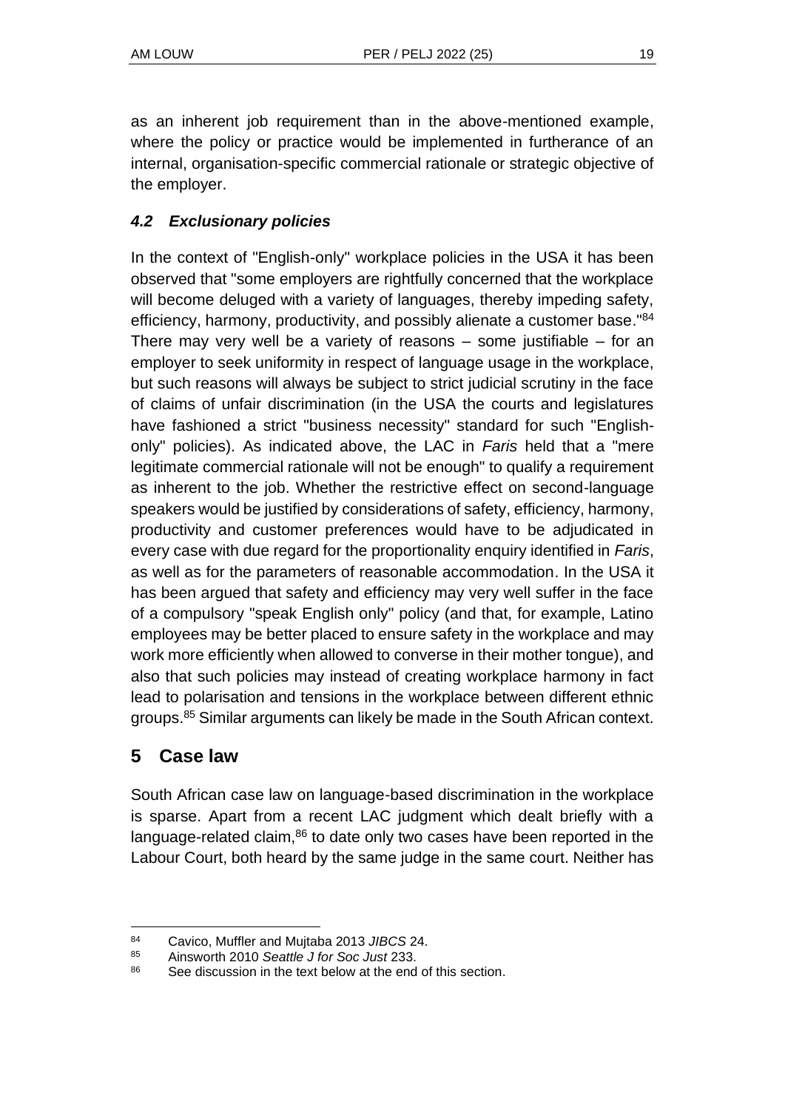as an inherent job requirement than in the above-mentioned example, where the policy or practice would be implemented in furtherance of an internal, organisation-specific commercial rationale or strategic objective of the employer.

### *4.2 Exclusionary policies*

In the context of "English-only" workplace policies in the USA it has been observed that "some employers are rightfully concerned that the workplace will become deluged with a variety of languages, thereby impeding safety, efficiency, harmony, productivity, and possibly alienate a customer base."<sup>84</sup> There may very well be a variety of reasons  $-$  some justifiable  $-$  for an employer to seek uniformity in respect of language usage in the workplace, but such reasons will always be subject to strict judicial scrutiny in the face of claims of unfair discrimination (in the USA the courts and legislatures have fashioned a strict "business necessity" standard for such "Englishonly" policies). As indicated above, the LAC in *Faris* held that a "mere legitimate commercial rationale will not be enough" to qualify a requirement as inherent to the job. Whether the restrictive effect on second-language speakers would be justified by considerations of safety, efficiency, harmony, productivity and customer preferences would have to be adjudicated in every case with due regard for the proportionality enquiry identified in *Faris*, as well as for the parameters of reasonable accommodation. In the USA it has been argued that safety and efficiency may very well suffer in the face of a compulsory "speak English only" policy (and that, for example, Latino employees may be better placed to ensure safety in the workplace and may work more efficiently when allowed to converse in their mother tongue), and also that such policies may instead of creating workplace harmony in fact lead to polarisation and tensions in the workplace between different ethnic groups.<sup>85</sup> Similar arguments can likely be made in the South African context.

### **5 Case law**

South African case law on language-based discrimination in the workplace is sparse. Apart from a recent LAC judgment which dealt briefly with a language-related claim, $86$  to date only two cases have been reported in the Labour Court, both heard by the same judge in the same court. Neither has

<sup>84</sup> Cavico, Muffler and Mujtaba 2013 *JIBCS* 24.

<sup>85</sup> Ainsworth 2010 *Seattle J for Soc Just* 233.

<sup>86</sup> See discussion in the text below at the end of this section.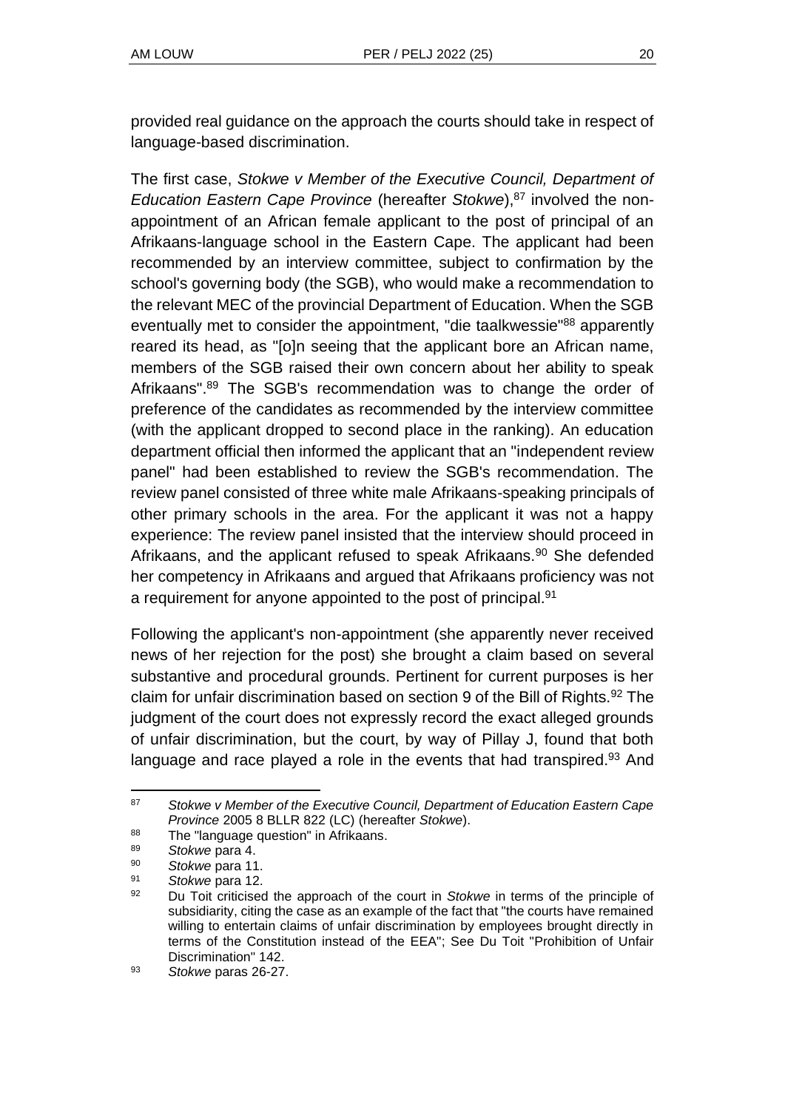provided real guidance on the approach the courts should take in respect of language-based discrimination.

The first case, *Stokwe v Member of the Executive Council, Department of Education Eastern Cape Province* (hereafter *Stokwe*),<sup>87</sup> involved the nonappointment of an African female applicant to the post of principal of an Afrikaans-language school in the Eastern Cape. The applicant had been recommended by an interview committee, subject to confirmation by the school's governing body (the SGB), who would make a recommendation to the relevant MEC of the provincial Department of Education. When the SGB eventually met to consider the appointment, "die taalkwessie"<sup>88</sup> apparently reared its head, as "[o]n seeing that the applicant bore an African name, members of the SGB raised their own concern about her ability to speak Afrikaans".<sup>89</sup> The SGB's recommendation was to change the order of preference of the candidates as recommended by the interview committee (with the applicant dropped to second place in the ranking). An education department official then informed the applicant that an "independent review panel" had been established to review the SGB's recommendation. The review panel consisted of three white male Afrikaans-speaking principals of other primary schools in the area. For the applicant it was not a happy experience: The review panel insisted that the interview should proceed in Afrikaans, and the applicant refused to speak Afrikaans.<sup>90</sup> She defended her competency in Afrikaans and argued that Afrikaans proficiency was not a requirement for anyone appointed to the post of principal.<sup>91</sup>

Following the applicant's non-appointment (she apparently never received news of her rejection for the post) she brought a claim based on several substantive and procedural grounds. Pertinent for current purposes is her claim for unfair discrimination based on section 9 of the Bill of Rights.<sup>92</sup> The judgment of the court does not expressly record the exact alleged grounds of unfair discrimination, but the court, by way of Pillay J, found that both language and race played a role in the events that had transpired.<sup>93</sup> And

<sup>87</sup> *Stokwe v Member of the Executive Council, Department of Education Eastern Cape Province* 2005 8 BLLR 822 (LC) (hereafter *Stokwe*).

 $88$  The "language question" in Afrikaans.

<sup>89</sup> *Stokwe* para 4.

<sup>90</sup> *Stokwe* para 11.

Stokwe para 12.

<sup>92</sup> Du Toit criticised the approach of the court in *Stokwe* in terms of the principle of subsidiarity, citing the case as an example of the fact that "the courts have remained willing to entertain claims of unfair discrimination by employees brought directly in terms of the Constitution instead of the EEA"; See Du Toit "Prohibition of Unfair Discrimination" 142.

<sup>93</sup> *Stokwe* paras 26-27.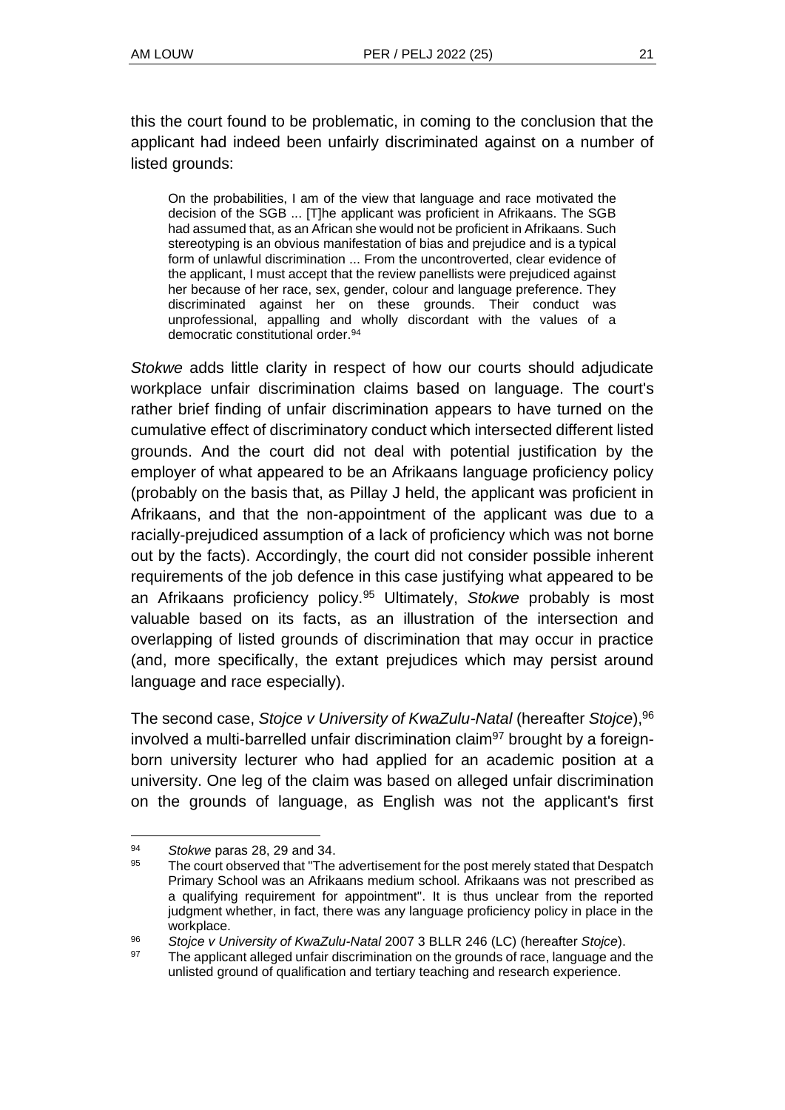this the court found to be problematic, in coming to the conclusion that the applicant had indeed been unfairly discriminated against on a number of listed grounds:

On the probabilities, I am of the view that language and race motivated the decision of the SGB ... [T]he applicant was proficient in Afrikaans. The SGB had assumed that, as an African she would not be proficient in Afrikaans. Such stereotyping is an obvious manifestation of bias and prejudice and is a typical form of unlawful discrimination ... From the uncontroverted, clear evidence of the applicant, I must accept that the review panellists were prejudiced against her because of her race, sex, gender, colour and language preference. They discriminated against her on these grounds. Their conduct was unprofessional, appalling and wholly discordant with the values of a democratic constitutional order.<sup>94</sup>

*Stokwe* adds little clarity in respect of how our courts should adjudicate workplace unfair discrimination claims based on language. The court's rather brief finding of unfair discrimination appears to have turned on the cumulative effect of discriminatory conduct which intersected different listed grounds. And the court did not deal with potential justification by the employer of what appeared to be an Afrikaans language proficiency policy (probably on the basis that, as Pillay J held, the applicant was proficient in Afrikaans, and that the non-appointment of the applicant was due to a racially-prejudiced assumption of a lack of proficiency which was not borne out by the facts). Accordingly, the court did not consider possible inherent requirements of the job defence in this case justifying what appeared to be an Afrikaans proficiency policy.<sup>95</sup> Ultimately, *Stokwe* probably is most valuable based on its facts, as an illustration of the intersection and overlapping of listed grounds of discrimination that may occur in practice (and, more specifically, the extant prejudices which may persist around language and race especially).

The second case, *Stojce v University of KwaZulu-Natal* (hereafter *Stojce*),<sup>96</sup> involved a multi-barrelled unfair discrimination claim<sup>97</sup> brought by a foreignborn university lecturer who had applied for an academic position at a university. One leg of the claim was based on alleged unfair discrimination on the grounds of language, as English was not the applicant's first

<sup>&</sup>lt;sup>94</sup> Stokwe paras 28, 29 and 34.

The court observed that "The advertisement for the post merely stated that Despatch Primary School was an Afrikaans medium school. Afrikaans was not prescribed as a qualifying requirement for appointment". It is thus unclear from the reported judgment whether, in fact, there was any language proficiency policy in place in the workplace.

<sup>96</sup> *Stojce v University of KwaZulu-Natal* 2007 3 BLLR 246 (LC) (hereafter *Stojce*).

<sup>97</sup> The applicant alleged unfair discrimination on the grounds of race, language and the unlisted ground of qualification and tertiary teaching and research experience.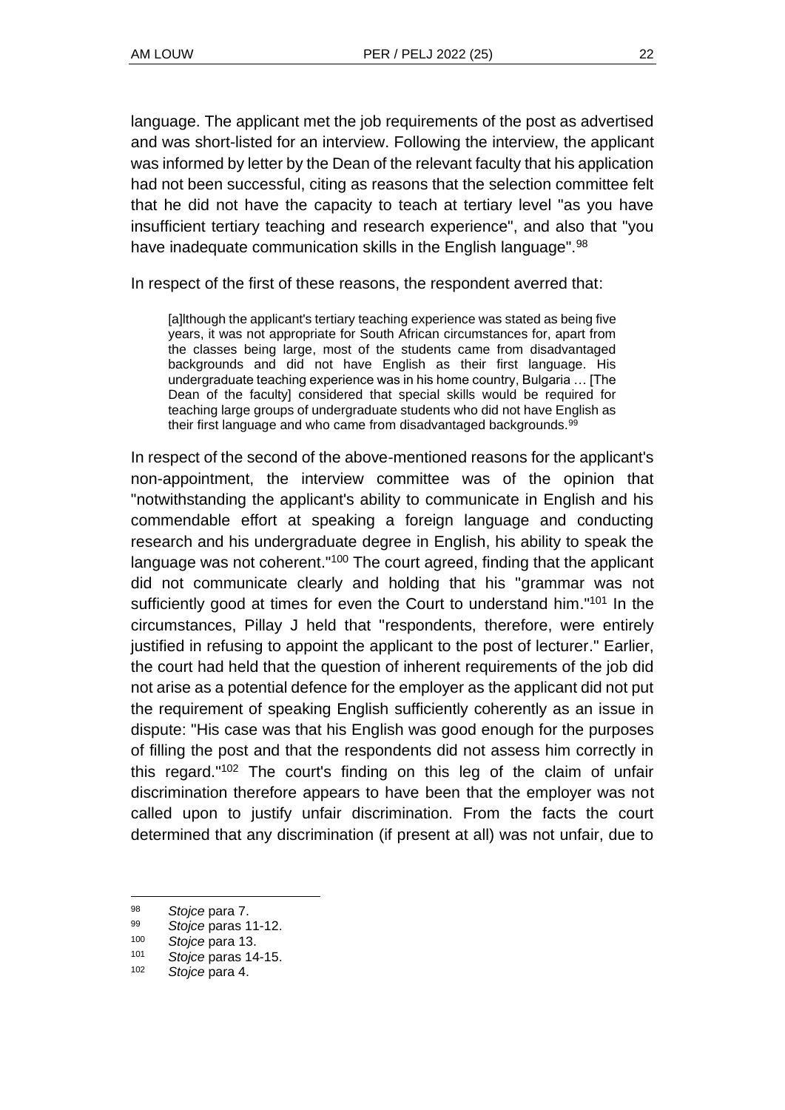language. The applicant met the job requirements of the post as advertised and was short-listed for an interview. Following the interview, the applicant was informed by letter by the Dean of the relevant faculty that his application had not been successful, citing as reasons that the selection committee felt that he did not have the capacity to teach at tertiary level "as you have insufficient tertiary teaching and research experience", and also that "you have inadequate communication skills in the English language".<sup>98</sup>

In respect of the first of these reasons, the respondent averred that:

[a]lthough the applicant's tertiary teaching experience was stated as being five years, it was not appropriate for South African circumstances for, apart from the classes being large, most of the students came from disadvantaged backgrounds and did not have English as their first language. His undergraduate teaching experience was in his home country, Bulgaria … [The Dean of the faculty] considered that special skills would be required for teaching large groups of undergraduate students who did not have English as their first language and who came from disadvantaged backgrounds.<sup>99</sup>

In respect of the second of the above-mentioned reasons for the applicant's non-appointment, the interview committee was of the opinion that "notwithstanding the applicant's ability to communicate in English and his commendable effort at speaking a foreign language and conducting research and his undergraduate degree in English, his ability to speak the language was not coherent."<sup>100</sup> The court agreed, finding that the applicant did not communicate clearly and holding that his "grammar was not sufficiently good at times for even the Court to understand him."<sup>101</sup> In the circumstances, Pillay J held that "respondents, therefore, were entirely justified in refusing to appoint the applicant to the post of lecturer." Earlier, the court had held that the question of inherent requirements of the job did not arise as a potential defence for the employer as the applicant did not put the requirement of speaking English sufficiently coherently as an issue in dispute: "His case was that his English was good enough for the purposes of filling the post and that the respondents did not assess him correctly in this regard." <sup>102</sup> The court's finding on this leg of the claim of unfair discrimination therefore appears to have been that the employer was not called upon to justify unfair discrimination. From the facts the court determined that any discrimination (if present at all) was not unfair, due to

<sup>98</sup> *Stojce* para 7.

<sup>99</sup> *Stojce* paras 11-12.

Stojce para 13.

<sup>101</sup> *Stojce* paras 14-15.

Stojce para 4.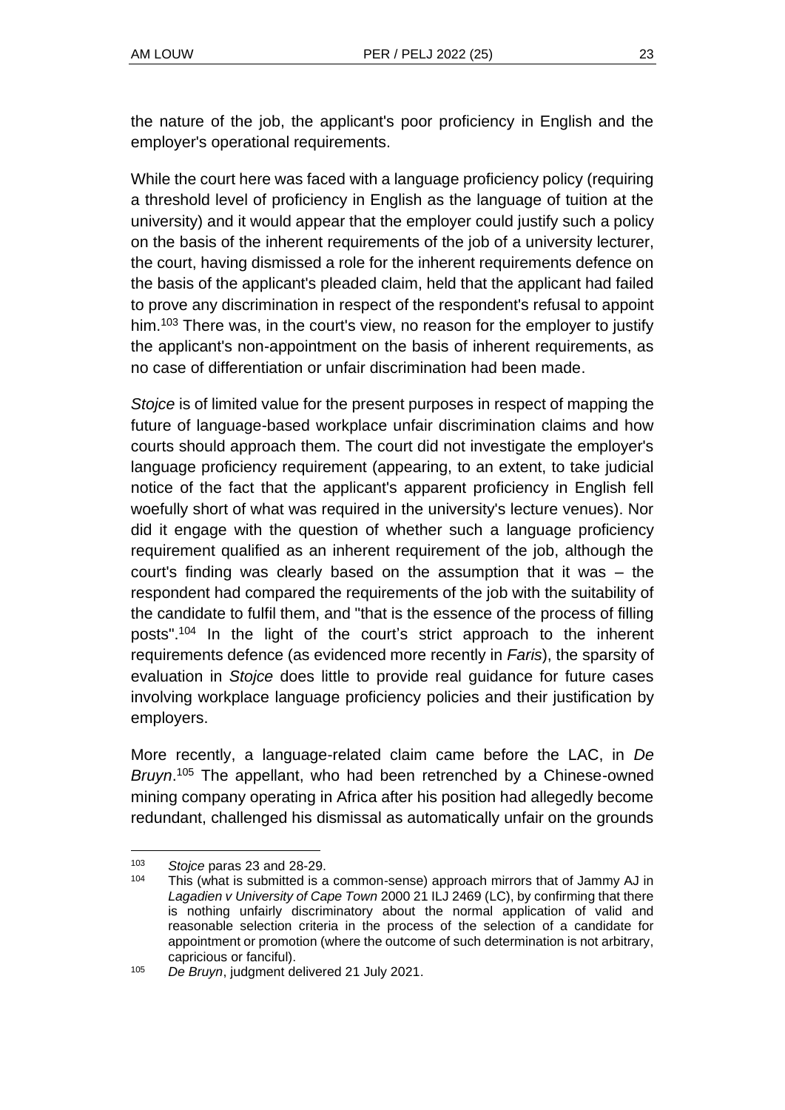the nature of the job, the applicant's poor proficiency in English and the employer's operational requirements.

While the court here was faced with a language proficiency policy (requiring a threshold level of proficiency in English as the language of tuition at the university) and it would appear that the employer could justify such a policy on the basis of the inherent requirements of the job of a university lecturer, the court, having dismissed a role for the inherent requirements defence on the basis of the applicant's pleaded claim, held that the applicant had failed to prove any discrimination in respect of the respondent's refusal to appoint him.<sup>103</sup> There was, in the court's view, no reason for the employer to justify the applicant's non-appointment on the basis of inherent requirements, as no case of differentiation or unfair discrimination had been made.

*Stojce* is of limited value for the present purposes in respect of mapping the future of language-based workplace unfair discrimination claims and how courts should approach them. The court did not investigate the employer's language proficiency requirement (appearing, to an extent, to take judicial notice of the fact that the applicant's apparent proficiency in English fell woefully short of what was required in the university's lecture venues). Nor did it engage with the question of whether such a language proficiency requirement qualified as an inherent requirement of the job, although the court's finding was clearly based on the assumption that it was – the respondent had compared the requirements of the job with the suitability of the candidate to fulfil them, and "that is the essence of the process of filling posts".<sup>104</sup> In the light of the court's strict approach to the inherent requirements defence (as evidenced more recently in *Faris*), the sparsity of evaluation in *Stojce* does little to provide real guidance for future cases involving workplace language proficiency policies and their justification by employers.

More recently, a language-related claim came before the LAC, in *De*  Bruyn.<sup>105</sup> The appellant, who had been retrenched by a Chinese-owned mining company operating in Africa after his position had allegedly become redundant, challenged his dismissal as automatically unfair on the grounds

<sup>103</sup> *Stojce* paras 23 and 28-29.

This (what is submitted is a common-sense) approach mirrors that of Jammy AJ in *Lagadien v University of Cape Town* 2000 21 ILJ 2469 (LC), by confirming that there is nothing unfairly discriminatory about the normal application of valid and reasonable selection criteria in the process of the selection of a candidate for appointment or promotion (where the outcome of such determination is not arbitrary, capricious or fanciful).

<sup>105</sup> *De Bruyn*, judgment delivered 21 July 2021.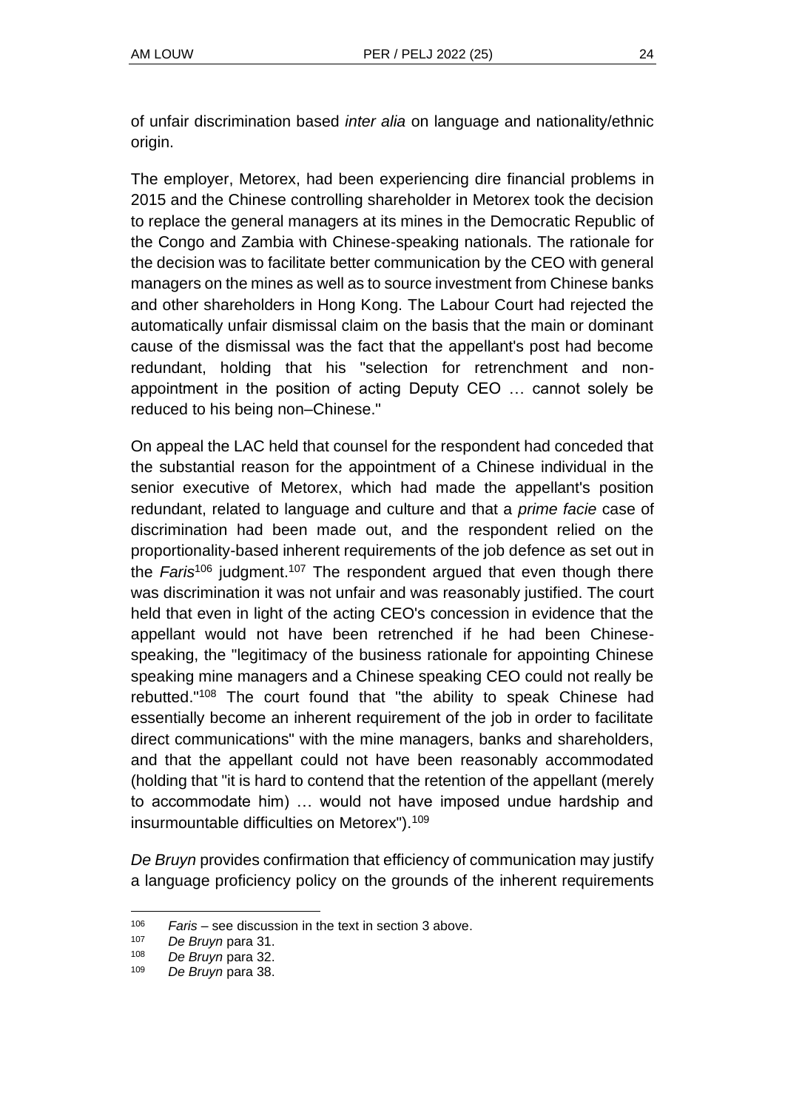of unfair discrimination based *inter alia* on language and nationality/ethnic origin.

The employer, Metorex, had been experiencing dire financial problems in 2015 and the Chinese controlling shareholder in Metorex took the decision to replace the general managers at its mines in the Democratic Republic of the Congo and Zambia with Chinese-speaking nationals. The rationale for the decision was to facilitate better communication by the CEO with general managers on the mines as well as to source investment from Chinese banks and other shareholders in Hong Kong. The Labour Court had rejected the automatically unfair dismissal claim on the basis that the main or dominant cause of the dismissal was the fact that the appellant's post had become redundant, holding that his "selection for retrenchment and nonappointment in the position of acting Deputy CEO … cannot solely be reduced to his being non–Chinese."

On appeal the LAC held that counsel for the respondent had conceded that the substantial reason for the appointment of a Chinese individual in the senior executive of Metorex, which had made the appellant's position redundant, related to language and culture and that a *prime facie* case of discrimination had been made out, and the respondent relied on the proportionality-based inherent requirements of the job defence as set out in the *Faris*<sup>106</sup> judgment.<sup>107</sup> The respondent argued that even though there was discrimination it was not unfair and was reasonably justified. The court held that even in light of the acting CEO's concession in evidence that the appellant would not have been retrenched if he had been Chinesespeaking, the "legitimacy of the business rationale for appointing Chinese speaking mine managers and a Chinese speaking CEO could not really be rebutted."<sup>108</sup> The court found that "the ability to speak Chinese had essentially become an inherent requirement of the job in order to facilitate direct communications" with the mine managers, banks and shareholders, and that the appellant could not have been reasonably accommodated (holding that "it is hard to contend that the retention of the appellant (merely to accommodate him) … would not have imposed undue hardship and insurmountable difficulties on Metorex").<sup>109</sup>

*De Bruyn* provides confirmation that efficiency of communication may justify a language proficiency policy on the grounds of the inherent requirements

<sup>&</sup>lt;sup>106</sup> *Faris* – see discussion in the text in section 3 above.<br><sup>107</sup> *De Bruyn* para 31

De Bruyn para 31.

<sup>108</sup> *De Bruyn* para 32.

<sup>109</sup> *De Bruyn* para 38.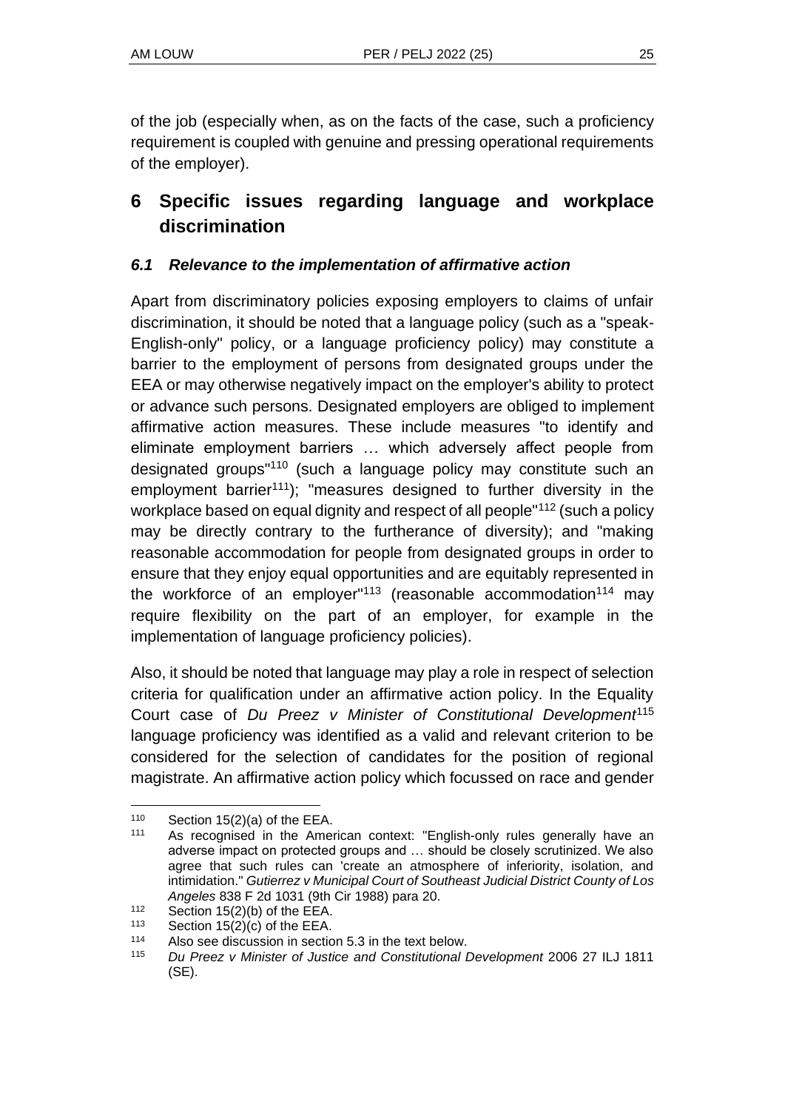of the job (especially when, as on the facts of the case, such a proficiency requirement is coupled with genuine and pressing operational requirements of the employer).

# **6 Specific issues regarding language and workplace discrimination**

### *6.1 Relevance to the implementation of affirmative action*

Apart from discriminatory policies exposing employers to claims of unfair discrimination, it should be noted that a language policy (such as a "speak-English-only" policy, or a language proficiency policy) may constitute a barrier to the employment of persons from designated groups under the EEA or may otherwise negatively impact on the employer's ability to protect or advance such persons. Designated employers are obliged to implement affirmative action measures. These include measures "to identify and eliminate employment barriers … which adversely affect people from designated groups"<sup>110</sup> (such a language policy may constitute such an employment barrier<sup>111</sup>); "measures designed to further diversity in the workplace based on equal dignity and respect of all people"<sup>112</sup> (such a policy may be directly contrary to the furtherance of diversity); and "making reasonable accommodation for people from designated groups in order to ensure that they enjoy equal opportunities and are equitably represented in the workforce of an employer<sup>"113</sup> (reasonable accommodation<sup>114</sup> may require flexibility on the part of an employer, for example in the implementation of language proficiency policies).

Also, it should be noted that language may play a role in respect of selection criteria for qualification under an affirmative action policy. In the Equality Court case of *Du Preez v Minister of Constitutional Development*<sup>115</sup> language proficiency was identified as a valid and relevant criterion to be considered for the selection of candidates for the position of regional magistrate. An affirmative action policy which focussed on race and gender

 $110$  Section 15(2)(a) of the EEA.

<sup>111</sup> As recognised in the American context: "English-only rules generally have an adverse impact on protected groups and … should be closely scrutinized. We also agree that such rules can 'create an atmosphere of inferiority, isolation, and intimidation." *Gutierrez v Municipal Court of Southeast Judicial District County of Los Angeles* 838 F 2d 1031 (9th Cir 1988) para 20.

 $112$  Section 15(2)(b) of the EEA.

<sup>113</sup> Section  $15(2)(c)$  of the EEA.<br>114 Also see discussion in section

Also see discussion in section 5.3 in the text below.

<sup>115</sup> *Du Preez v Minister of Justice and Constitutional Development* 2006 27 ILJ 1811 (SE).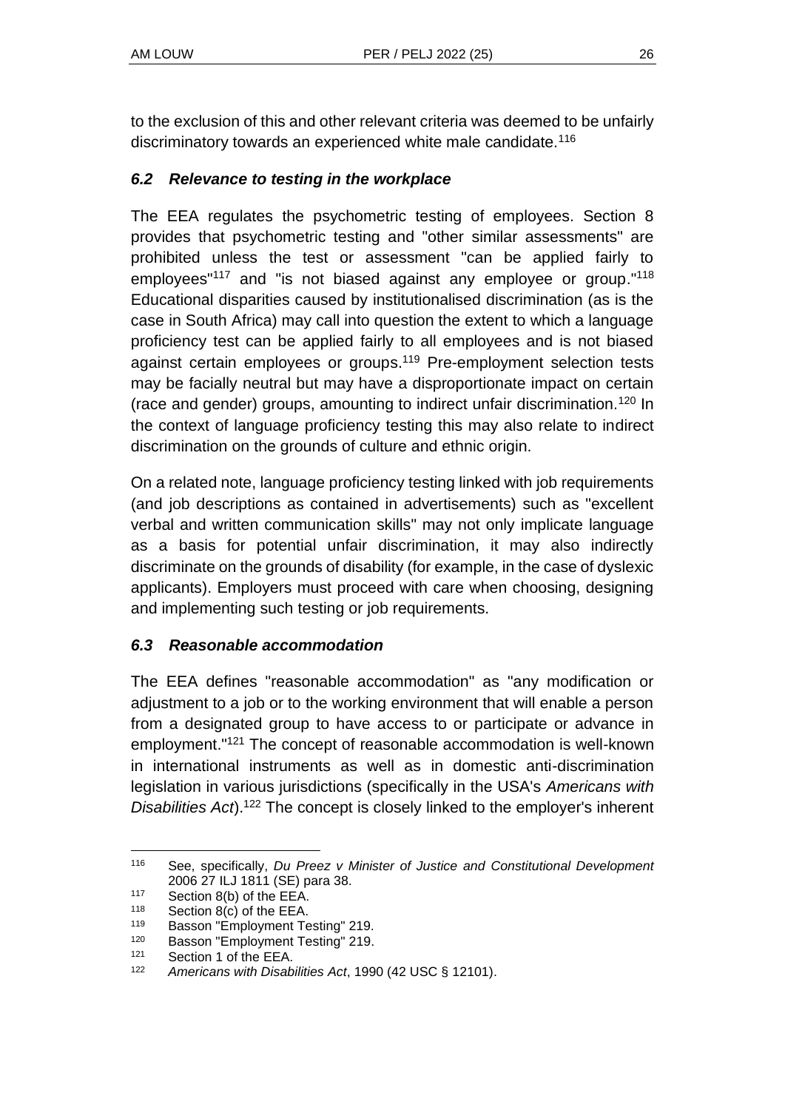to the exclusion of this and other relevant criteria was deemed to be unfairly discriminatory towards an experienced white male candidate.<sup>116</sup>

### *6.2 Relevance to testing in the workplace*

The EEA regulates the psychometric testing of employees. Section 8 provides that psychometric testing and "other similar assessments" are prohibited unless the test or assessment "can be applied fairly to employees"<sup>117</sup> and "is not biased against any employee or group."<sup>118</sup> Educational disparities caused by institutionalised discrimination (as is the case in South Africa) may call into question the extent to which a language proficiency test can be applied fairly to all employees and is not biased against certain employees or groups.<sup>119</sup> Pre-employment selection tests may be facially neutral but may have a disproportionate impact on certain (race and gender) groups, amounting to indirect unfair discrimination.<sup>120</sup> In the context of language proficiency testing this may also relate to indirect discrimination on the grounds of culture and ethnic origin.

On a related note, language proficiency testing linked with job requirements (and job descriptions as contained in advertisements) such as "excellent verbal and written communication skills" may not only implicate language as a basis for potential unfair discrimination, it may also indirectly discriminate on the grounds of disability (for example, in the case of dyslexic applicants). Employers must proceed with care when choosing, designing and implementing such testing or job requirements.

### *6.3 Reasonable accommodation*

The EEA defines "reasonable accommodation" as "any modification or adjustment to a job or to the working environment that will enable a person from a designated group to have access to or participate or advance in employment."<sup>121</sup> The concept of reasonable accommodation is well-known in international instruments as well as in domestic anti-discrimination legislation in various jurisdictions (specifically in the USA's *Americans with Disabilities Act*). <sup>122</sup> The concept is closely linked to the employer's inherent

<sup>116</sup> See, specifically, *Du Preez v Minister of Justice and Constitutional Development*  2006 27 ILJ 1811 (SE) para 38.

<sup>117</sup> Section 8(b) of the EEA.

<sup>118</sup> Section 8(c) of the EEA.

<sup>119</sup> Basson "Employment Testing" 219.

<sup>120</sup> Basson "Employment Testing" 219.

 $121$  Section 1 of the EEA.<br> $122$  Americans with Disab

<sup>122</sup> *Americans with Disabilities Act*, 1990 (42 USC § 12101).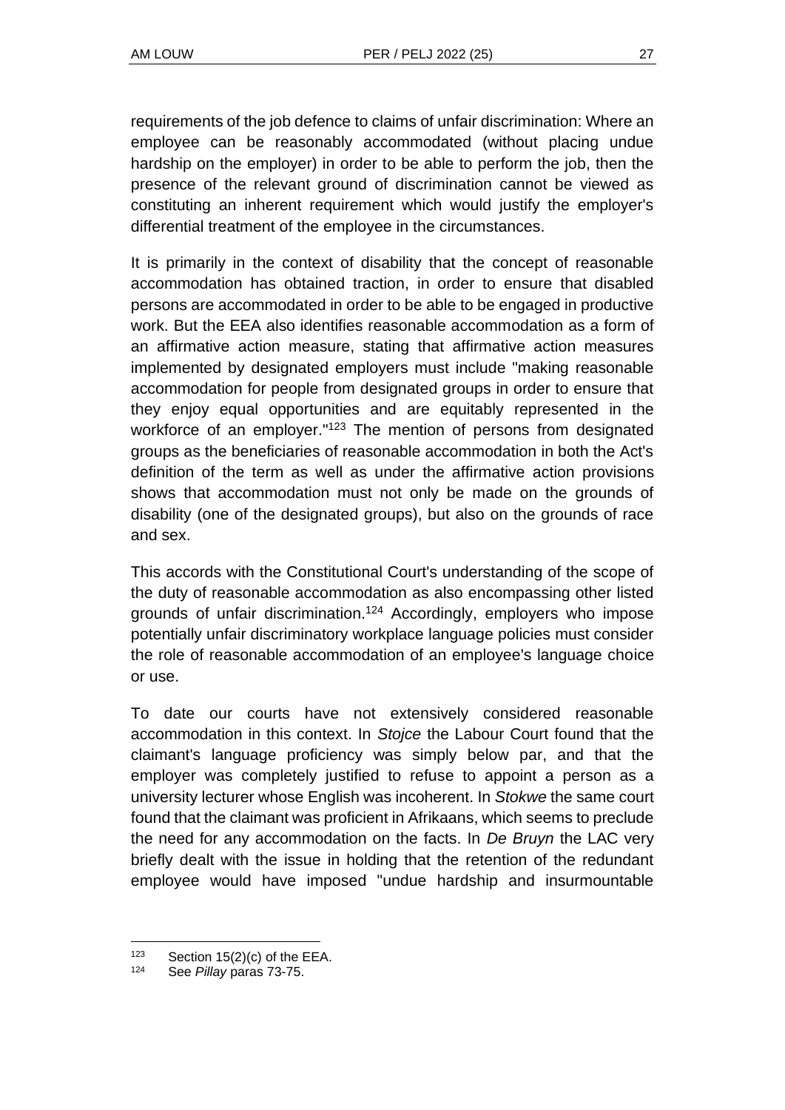requirements of the job defence to claims of unfair discrimination: Where an employee can be reasonably accommodated (without placing undue hardship on the employer) in order to be able to perform the job, then the presence of the relevant ground of discrimination cannot be viewed as constituting an inherent requirement which would justify the employer's differential treatment of the employee in the circumstances.

It is primarily in the context of disability that the concept of reasonable accommodation has obtained traction, in order to ensure that disabled persons are accommodated in order to be able to be engaged in productive work. But the EEA also identifies reasonable accommodation as a form of an affirmative action measure, stating that affirmative action measures implemented by designated employers must include "making reasonable accommodation for people from designated groups in order to ensure that they enjoy equal opportunities and are equitably represented in the workforce of an employer."<sup>123</sup> The mention of persons from designated groups as the beneficiaries of reasonable accommodation in both the Act's definition of the term as well as under the affirmative action provisions shows that accommodation must not only be made on the grounds of disability (one of the designated groups), but also on the grounds of race and sex.

This accords with the Constitutional Court's understanding of the scope of the duty of reasonable accommodation as also encompassing other listed grounds of unfair discrimination.<sup>124</sup> Accordingly, employers who impose potentially unfair discriminatory workplace language policies must consider the role of reasonable accommodation of an employee's language choice or use.

To date our courts have not extensively considered reasonable accommodation in this context. In *Stojce* the Labour Court found that the claimant's language proficiency was simply below par, and that the employer was completely justified to refuse to appoint a person as a university lecturer whose English was incoherent. In *Stokwe* the same court found that the claimant was proficient in Afrikaans, which seems to preclude the need for any accommodation on the facts. In *De Bruyn* the LAC very briefly dealt with the issue in holding that the retention of the redundant employee would have imposed "undue hardship and insurmountable

<sup>&</sup>lt;sup>123</sup> Section 15(2)(c) of the EEA.<br><sup>124</sup> See Billow pares 73.75

See *Pillay* paras 73-75.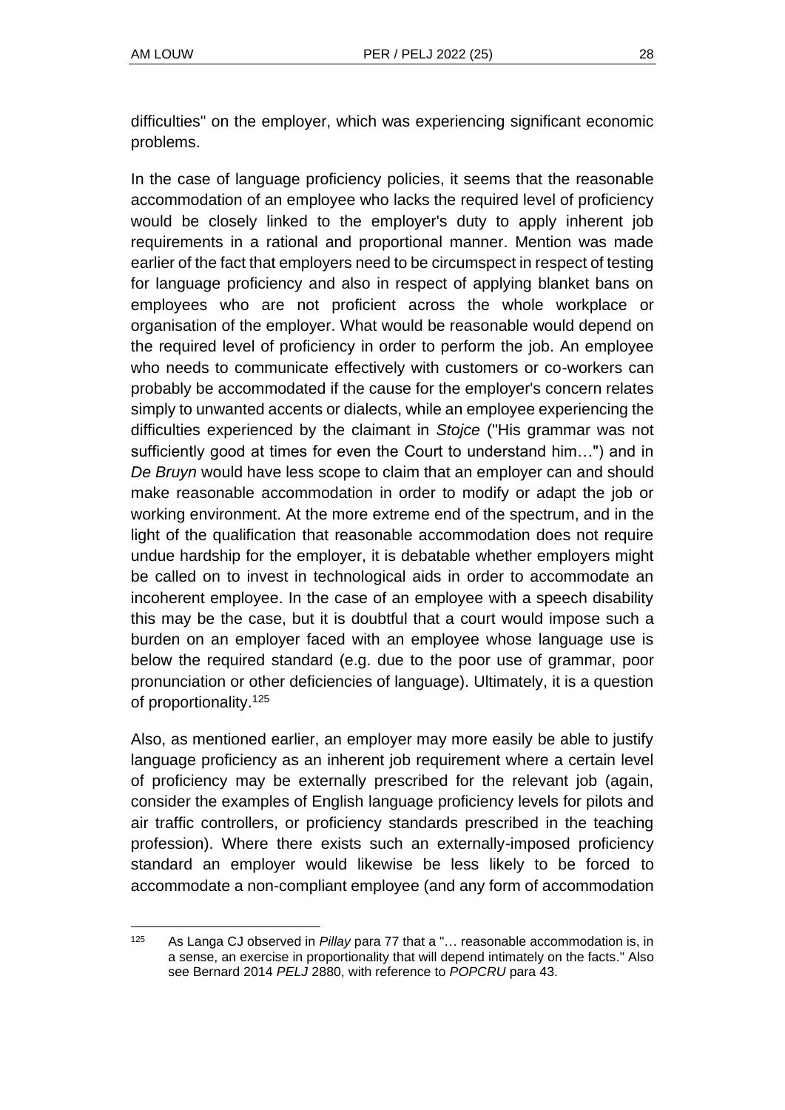difficulties" on the employer, which was experiencing significant economic problems.

In the case of language proficiency policies, it seems that the reasonable accommodation of an employee who lacks the required level of proficiency would be closely linked to the employer's duty to apply inherent job requirements in a rational and proportional manner. Mention was made earlier of the fact that employers need to be circumspect in respect of testing for language proficiency and also in respect of applying blanket bans on employees who are not proficient across the whole workplace or organisation of the employer. What would be reasonable would depend on the required level of proficiency in order to perform the job. An employee who needs to communicate effectively with customers or co-workers can probably be accommodated if the cause for the employer's concern relates simply to unwanted accents or dialects, while an employee experiencing the difficulties experienced by the claimant in *Stojce* ("His grammar was not sufficiently good at times for even the Court to understand him…") and in *De Bruyn* would have less scope to claim that an employer can and should make reasonable accommodation in order to modify or adapt the job or working environment. At the more extreme end of the spectrum, and in the light of the qualification that reasonable accommodation does not require undue hardship for the employer, it is debatable whether employers might be called on to invest in technological aids in order to accommodate an incoherent employee. In the case of an employee with a speech disability this may be the case, but it is doubtful that a court would impose such a burden on an employer faced with an employee whose language use is below the required standard (e.g. due to the poor use of grammar, poor pronunciation or other deficiencies of language). Ultimately, it is a question of proportionality.<sup>125</sup>

Also, as mentioned earlier, an employer may more easily be able to justify language proficiency as an inherent job requirement where a certain level of proficiency may be externally prescribed for the relevant job (again, consider the examples of English language proficiency levels for pilots and air traffic controllers, or proficiency standards prescribed in the teaching profession). Where there exists such an externally-imposed proficiency standard an employer would likewise be less likely to be forced to accommodate a non-compliant employee (and any form of accommodation

<sup>125</sup> As Langa CJ observed in *Pillay* para 77 that a "… reasonable accommodation is, in a sense, an exercise in proportionality that will depend intimately on the facts." Also see Bernard 2014 *PELJ* 2880, with reference to *POPCRU* para 43.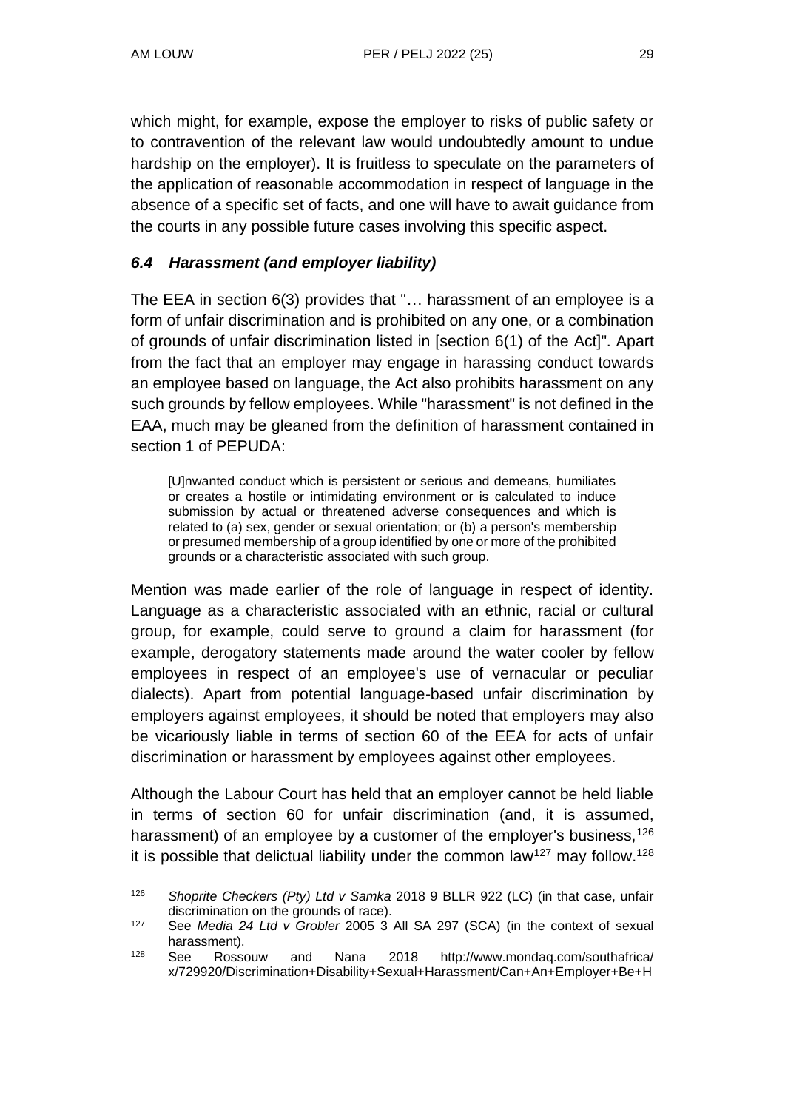which might, for example, expose the employer to risks of public safety or to contravention of the relevant law would undoubtedly amount to undue hardship on the employer). It is fruitless to speculate on the parameters of the application of reasonable accommodation in respect of language in the absence of a specific set of facts, and one will have to await guidance from the courts in any possible future cases involving this specific aspect.

### *6.4 Harassment (and employer liability)*

The EEA in section 6(3) provides that "… harassment of an employee is a form of unfair discrimination and is prohibited on any one, or a combination of grounds of unfair discrimination listed in [section 6(1) of the Act]". Apart from the fact that an employer may engage in harassing conduct towards an employee based on language, the Act also prohibits harassment on any such grounds by fellow employees. While "harassment" is not defined in the EAA, much may be gleaned from the definition of harassment contained in section 1 of PEPUDA:

[U]nwanted conduct which is persistent or serious and demeans, humiliates or creates a hostile or intimidating environment or is calculated to induce submission by actual or threatened adverse consequences and which is related to (a) sex, gender or sexual orientation; or (b) a person's membership or presumed membership of a group identified by one or more of the prohibited grounds or a characteristic associated with such group.

Mention was made earlier of the role of language in respect of identity. Language as a characteristic associated with an ethnic, racial or cultural group, for example, could serve to ground a claim for harassment (for example, derogatory statements made around the water cooler by fellow employees in respect of an employee's use of vernacular or peculiar dialects). Apart from potential language-based unfair discrimination by employers against employees, it should be noted that employers may also be vicariously liable in terms of section 60 of the EEA for acts of unfair discrimination or harassment by employees against other employees.

Although the Labour Court has held that an employer cannot be held liable in terms of section 60 for unfair discrimination (and, it is assumed, harassment) of an employee by a customer of the employer's business, <sup>126</sup> it is possible that delictual liability under the common law<sup>127</sup> may follow.<sup>128</sup>

<sup>126</sup> *Shoprite Checkers (Pty) Ltd v Samka* 2018 9 BLLR 922 (LC) (in that case, unfair discrimination on the grounds of race).

<sup>127</sup> See *Media 24 Ltd v Grobler* 2005 3 All SA 297 (SCA) (in the context of sexual harassment).

<sup>128</sup> See Rossouw and Nana 2018 [http://www.mondaq.com/southafrica/](http://www.mondaq.com/southafrica/x/729920/Discrimination+Disability+Sexual+Harassment/Can+An+Employer+Be+Held+Liable+For+Racial+Discrimination+Towards+An+Employee+By+One+Of+Its+Customers) [x/729920/Discrimination+Disability+Sexual+Harassment/Can+An+Employer+Be+H](http://www.mondaq.com/southafrica/x/729920/Discrimination+Disability+Sexual+Harassment/Can+An+Employer+Be+Held+Liable+For+Racial+Discrimination+Towards+An+Employee+By+One+Of+Its+Customers)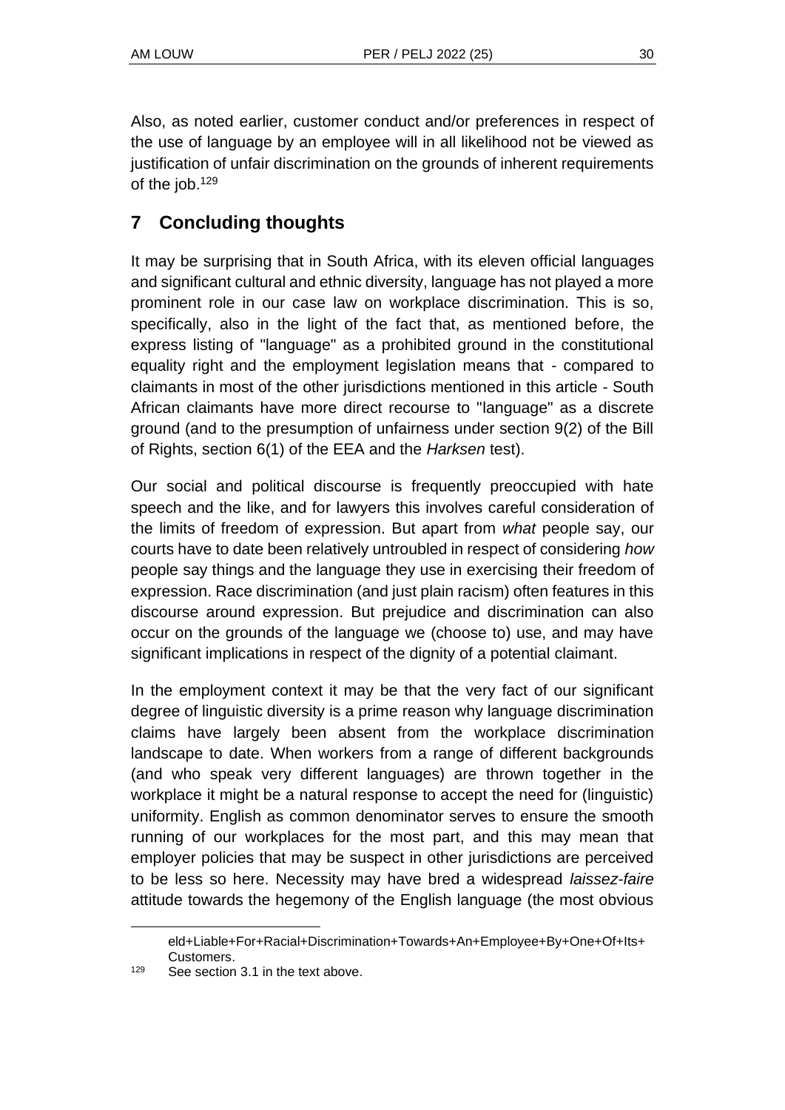Also, as noted earlier, customer conduct and/or preferences in respect of the use of language by an employee will in all likelihood not be viewed as justification of unfair discrimination on the grounds of inherent requirements of the job.<sup>129</sup>

# **7 Concluding thoughts**

It may be surprising that in South Africa, with its eleven official languages and significant cultural and ethnic diversity, language has not played a more prominent role in our case law on workplace discrimination. This is so, specifically, also in the light of the fact that, as mentioned before, the express listing of "language" as a prohibited ground in the constitutional equality right and the employment legislation means that - compared to claimants in most of the other jurisdictions mentioned in this article - South African claimants have more direct recourse to "language" as a discrete ground (and to the presumption of unfairness under section 9(2) of the Bill of Rights, section 6(1) of the EEA and the *Harksen* test).

Our social and political discourse is frequently preoccupied with hate speech and the like, and for lawyers this involves careful consideration of the limits of freedom of expression. But apart from *what* people say, our courts have to date been relatively untroubled in respect of considering *how*  people say things and the language they use in exercising their freedom of expression. Race discrimination (and just plain racism) often features in this discourse around expression. But prejudice and discrimination can also occur on the grounds of the language we (choose to) use, and may have significant implications in respect of the dignity of a potential claimant.

In the employment context it may be that the very fact of our significant degree of linguistic diversity is a prime reason why language discrimination claims have largely been absent from the workplace discrimination landscape to date. When workers from a range of different backgrounds (and who speak very different languages) are thrown together in the workplace it might be a natural response to accept the need for (linguistic) uniformity. English as common denominator serves to ensure the smooth running of our workplaces for the most part, and this may mean that employer policies that may be suspect in other jurisdictions are perceived to be less so here. Necessity may have bred a widespread *laissez-faire*  attitude towards the hegemony of the English language (the most obvious

[eld+Liable+For+Racial+Discrimination+Towards+An+Employee+By+One+Of+Its+](http://www.mondaq.com/southafrica/x/729920/Discrimination+Disability+Sexual+Harassment/Can+An+Employer+Be+Held+Liable+For+Racial+Discrimination+Towards+An+Employee+By+One+Of+Its+Customers) [Customers.](http://www.mondaq.com/southafrica/x/729920/Discrimination+Disability+Sexual+Harassment/Can+An+Employer+Be+Held+Liable+For+Racial+Discrimination+Towards+An+Employee+By+One+Of+Its+Customers)

<sup>129</sup> See section 3.1 in the text above.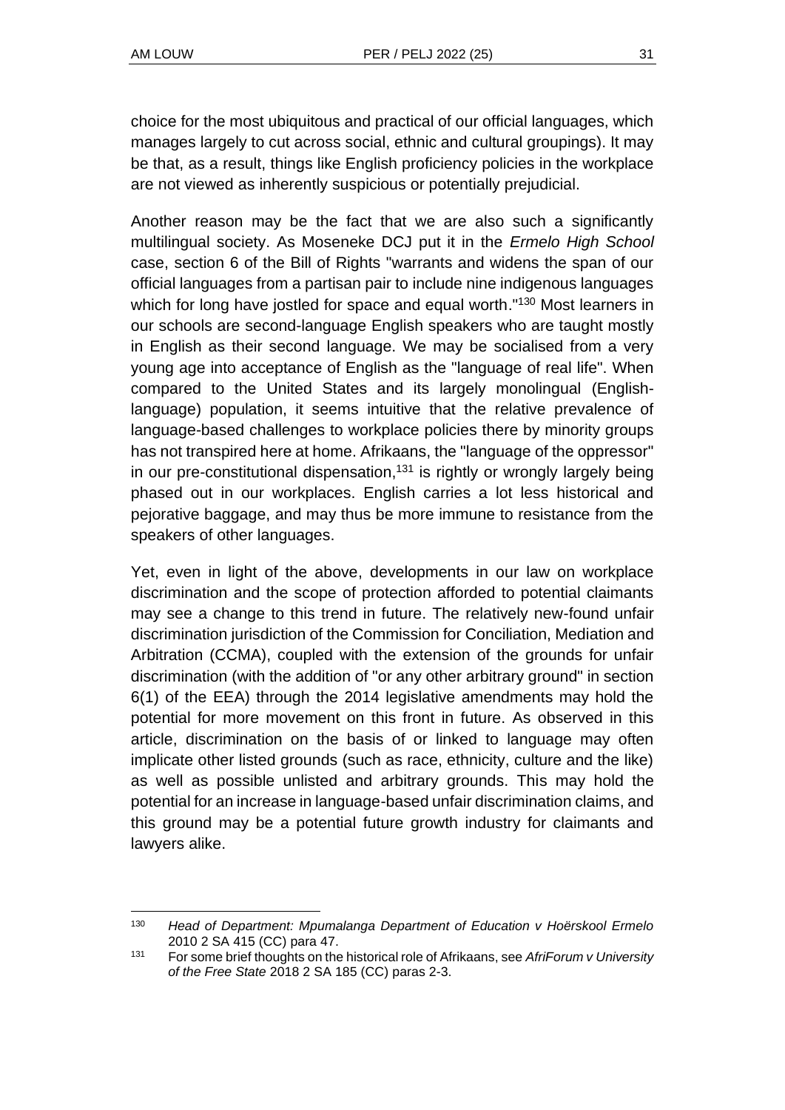choice for the most ubiquitous and practical of our official languages, which manages largely to cut across social, ethnic and cultural groupings). It may be that, as a result, things like English proficiency policies in the workplace are not viewed as inherently suspicious or potentially prejudicial.

Another reason may be the fact that we are also such a significantly multilingual society. As Moseneke DCJ put it in the *Ermelo High School* case, section 6 of the Bill of Rights "warrants and widens the span of our official languages from a partisan pair to include nine indigenous languages which for long have jostled for space and equal worth."<sup>130</sup> Most learners in our schools are second-language English speakers who are taught mostly in English as their second language. We may be socialised from a very young age into acceptance of English as the "language of real life". When compared to the United States and its largely monolingual (Englishlanguage) population, it seems intuitive that the relative prevalence of language-based challenges to workplace policies there by minority groups has not transpired here at home. Afrikaans, the "language of the oppressor" in our pre-constitutional dispensation, $131$  is rightly or wrongly largely being phased out in our workplaces. English carries a lot less historical and pejorative baggage, and may thus be more immune to resistance from the speakers of other languages.

Yet, even in light of the above, developments in our law on workplace discrimination and the scope of protection afforded to potential claimants may see a change to this trend in future. The relatively new-found unfair discrimination jurisdiction of the Commission for Conciliation, Mediation and Arbitration (CCMA), coupled with the extension of the grounds for unfair discrimination (with the addition of "or any other arbitrary ground" in section 6(1) of the EEA) through the 2014 legislative amendments may hold the potential for more movement on this front in future. As observed in this article, discrimination on the basis of or linked to language may often implicate other listed grounds (such as race, ethnicity, culture and the like) as well as possible unlisted and arbitrary grounds. This may hold the potential for an increase in language-based unfair discrimination claims, and this ground may be a potential future growth industry for claimants and lawyers alike.

<sup>130</sup> *Head of Department: Mpumalanga Department of Education v Hoërskool Ermelo* 2010 2 SA 415 (CC) para 47.

<sup>131</sup> For some brief thoughts on the historical role of Afrikaans, see *AfriForum v University of the Free State* 2018 2 SA 185 (CC) paras 2-3.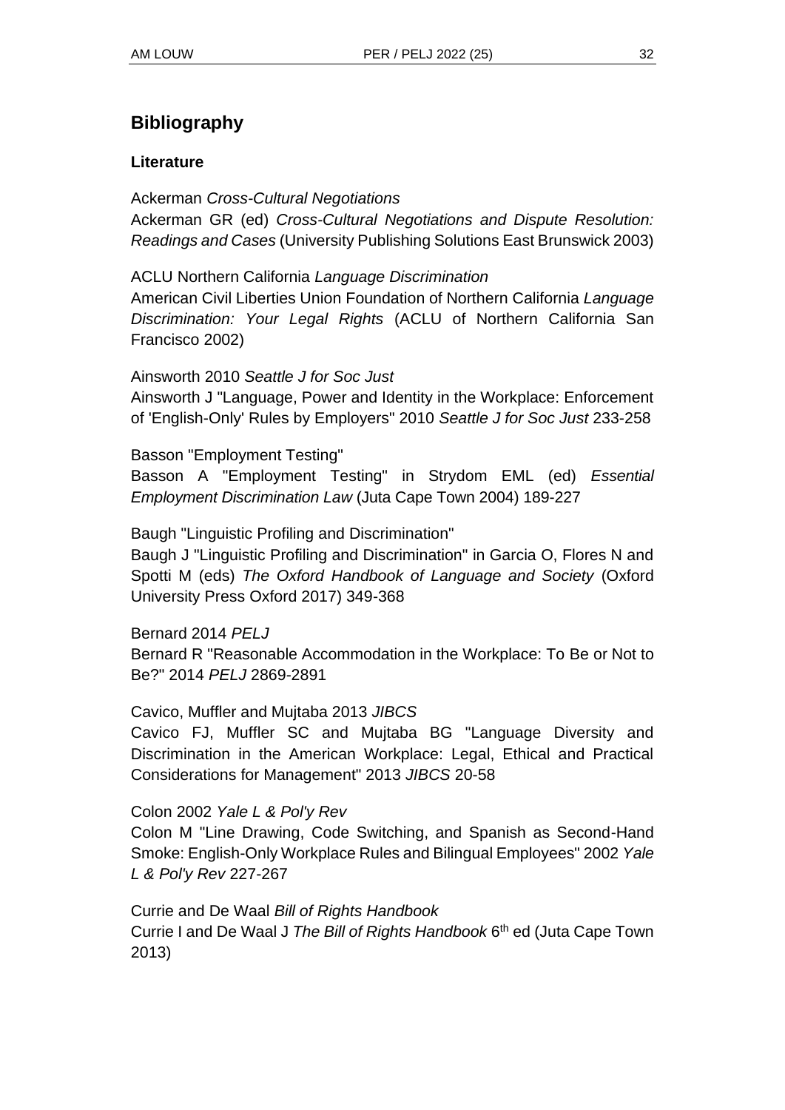# **Bibliography**

### **Literature**

Ackerman *Cross-Cultural Negotiations* Ackerman GR (ed) *Cross-Cultural Negotiations and Dispute Resolution: Readings and Cases* (University Publishing Solutions East Brunswick 2003)

ACLU Northern California *Language Discrimination* American Civil Liberties Union Foundation of Northern California *Language Discrimination: Your Legal Rights* (ACLU of Northern California San Francisco 2002)

Ainsworth 2010 *Seattle J for Soc Just*

Ainsworth J "Language, Power and Identity in the Workplace: Enforcement of 'English-Only' Rules by Employers" 2010 *Seattle J for Soc Just* 233-258

Basson "Employment Testing"

Basson A "Employment Testing" in Strydom EML (ed) *Essential Employment Discrimination Law* (Juta Cape Town 2004) 189-227

Baugh "Linguistic Profiling and Discrimination"

Baugh J "Linguistic Profiling and Discrimination" in Garcia O, Flores N and Spotti M (eds) *The Oxford Handbook of Language and Society* (Oxford University Press Oxford 2017) 349-368

Bernard 2014 *PELJ*

Bernard R "Reasonable Accommodation in the Workplace: To Be or Not to Be?" 2014 *PELJ* 2869-2891

Cavico, Muffler and Mujtaba 2013 *JIBCS*

Cavico FJ, Muffler SC and Mujtaba BG "Language Diversity and Discrimination in the American Workplace: Legal, Ethical and Practical Considerations for Management" 2013 *JIBCS* 20-58

Colon 2002 *Yale L & Pol'y Rev*

Colon M "Line Drawing, Code Switching, and Spanish as Second-Hand Smoke: English-Only Workplace Rules and Bilingual Employees" 2002 *Yale L & Pol'y Rev* 227-267

Currie and De Waal *Bill of Rights Handbook*

Currie I and De Waal J *The Bill of Rights Handbook* 6 th ed (Juta Cape Town 2013)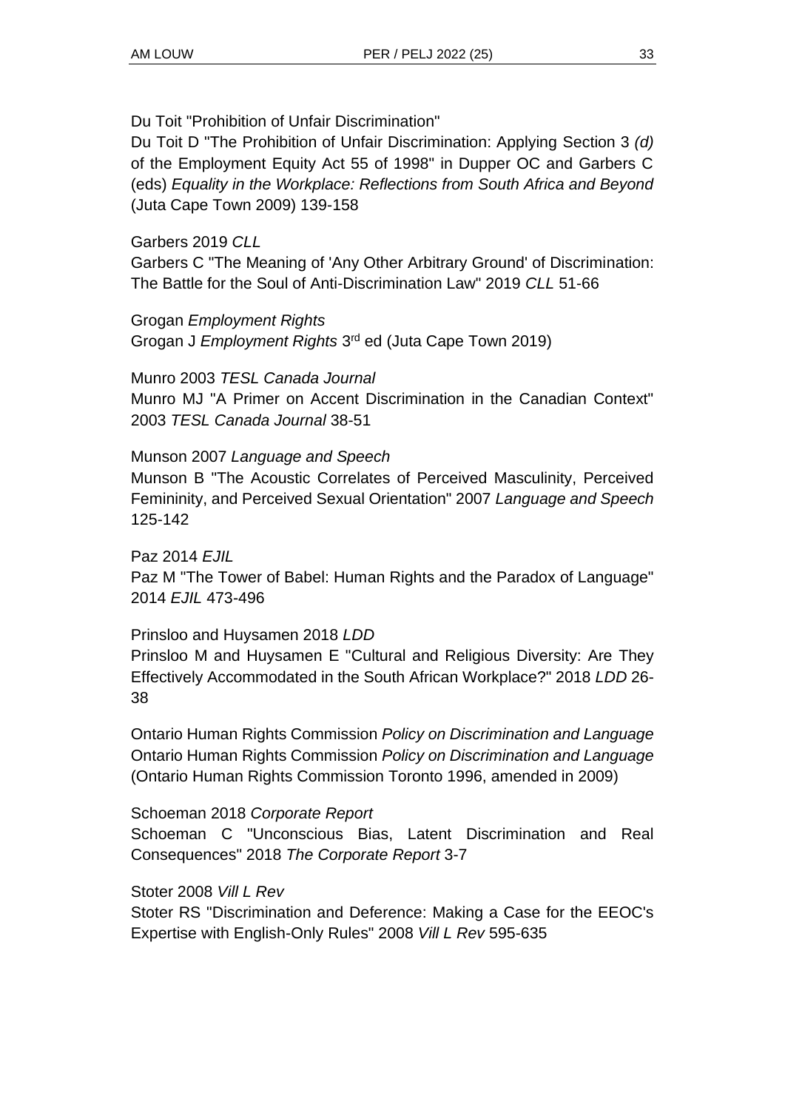Du Toit "Prohibition of Unfair Discrimination"

Du Toit D "The Prohibition of Unfair Discrimination: Applying Section 3 *(d)* of the Employment Equity Act 55 of 1998" in Dupper OC and Garbers C (eds) *Equality in the Workplace: Reflections from South Africa and Beyond* (Juta Cape Town 2009) 139-158

### Garbers 2019 *CLL*

Garbers C "The Meaning of 'Any Other Arbitrary Ground' of Discrimination: The Battle for the Soul of Anti-Discrimination Law" 2019 *CLL* 51-66

Grogan *Employment Rights* Grogan J Employment Rights 3<sup>rd</sup> ed (Juta Cape Town 2019)

Munro 2003 *TESL Canada Journal*

Munro MJ "A Primer on Accent Discrimination in the Canadian Context" 2003 *TESL Canada Journal* 38-51

### Munson 2007 *Language and Speech*

Munson B "The Acoustic Correlates of Perceived Masculinity, Perceived Femininity, and Perceived Sexual Orientation" 2007 *Language and Speech* 125-142

Paz 2014 *EJIL*

Paz M "The Tower of Babel: Human Rights and the Paradox of Language" 2014 *EJIL* 473-496

### Prinsloo and Huysamen 2018 *LDD*

Prinsloo M and Huysamen E "Cultural and Religious Diversity: Are They Effectively Accommodated in the South African Workplace?" 2018 *LDD* 26- 38

Ontario Human Rights Commission *Policy on Discrimination and Language* Ontario Human Rights Commission *Policy on Discrimination and Language* (Ontario Human Rights Commission Toronto 1996, amended in 2009)

### Schoeman 2018 *Corporate Report*

Schoeman C "Unconscious Bias, Latent Discrimination and Real Consequences" 2018 *The Corporate Report* 3-7

Stoter 2008 *Vill L Rev*

Stoter RS "Discrimination and Deference: Making a Case for the EEOC's Expertise with English-Only Rules" 2008 *Vill L Rev* 595-635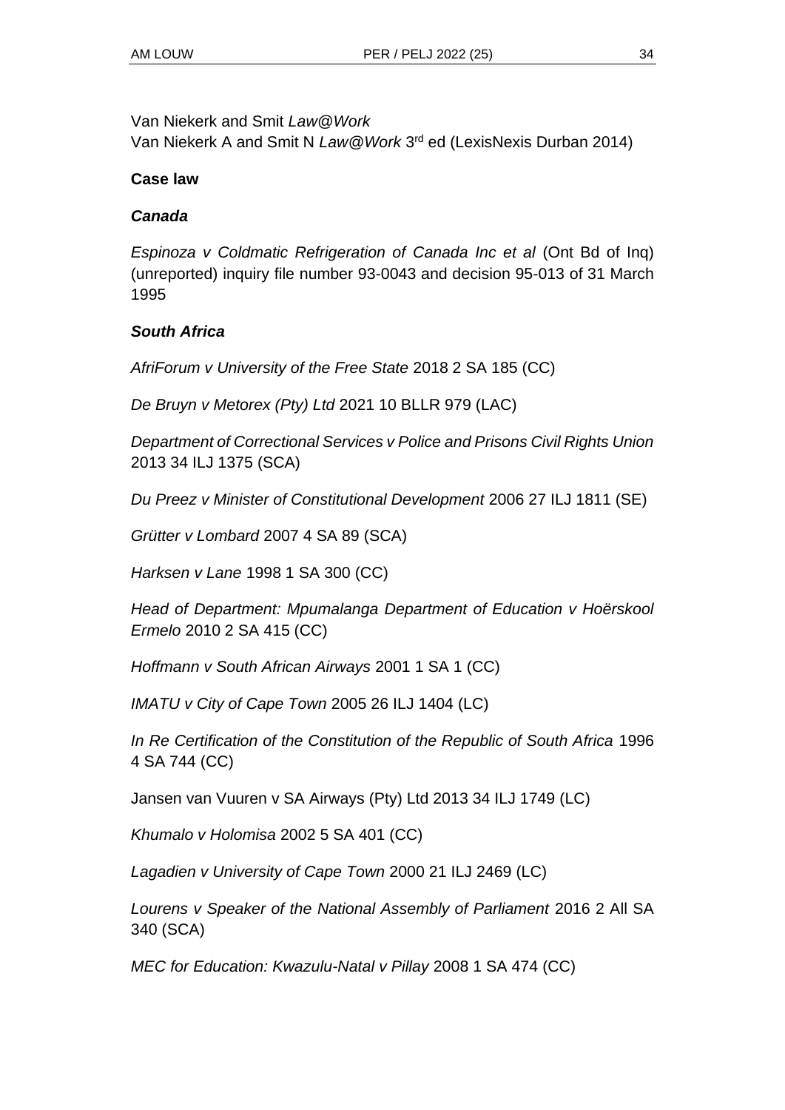Van Niekerk and Smit *Law@Work*

Van Niekerk A and Smit N *Law@Work* 3 rd ed (LexisNexis Durban 2014)

### **Case law**

### *Canada*

*Espinoza v Coldmatic Refrigeration of Canada Inc et al* (Ont Bd of Inq) (unreported) inquiry file number 93-0043 and decision 95-013 of 31 March 1995

### *South Africa*

*AfriForum v University of the Free State* 2018 2 SA 185 (CC)

*De Bruyn v Metorex (Pty) Ltd* 2021 10 BLLR 979 (LAC)

*Department of Correctional Services v Police and Prisons Civil Rights Union* 2013 34 ILJ 1375 (SCA)

*Du Preez v Minister of Constitutional Development* 2006 27 ILJ 1811 (SE)

*Grütter v Lombard* 2007 4 SA 89 (SCA)

*Harksen v Lane* 1998 1 SA 300 (CC)

*Head of Department: Mpumalanga Department of Education v Hoërskool Ermelo* 2010 2 SA 415 (CC)

*Hoffmann v South African Airways* 2001 1 SA 1 (CC)

*IMATU v City of Cape Town* 2005 26 ILJ 1404 (LC)

*In Re Certification of the Constitution of the Republic of South Africa* 1996 4 SA 744 (CC)

Jansen van Vuuren v SA Airways (Pty) Ltd 2013 34 ILJ 1749 (LC)

*Khumalo v Holomisa* 2002 5 SA 401 (CC)

*Lagadien v University of Cape Town* 2000 21 ILJ 2469 (LC)

*Lourens v Speaker of the National Assembly of Parliament* 2016 2 All SA 340 (SCA)

*MEC for Education: Kwazulu-Natal v Pillay* 2008 1 SA 474 (CC)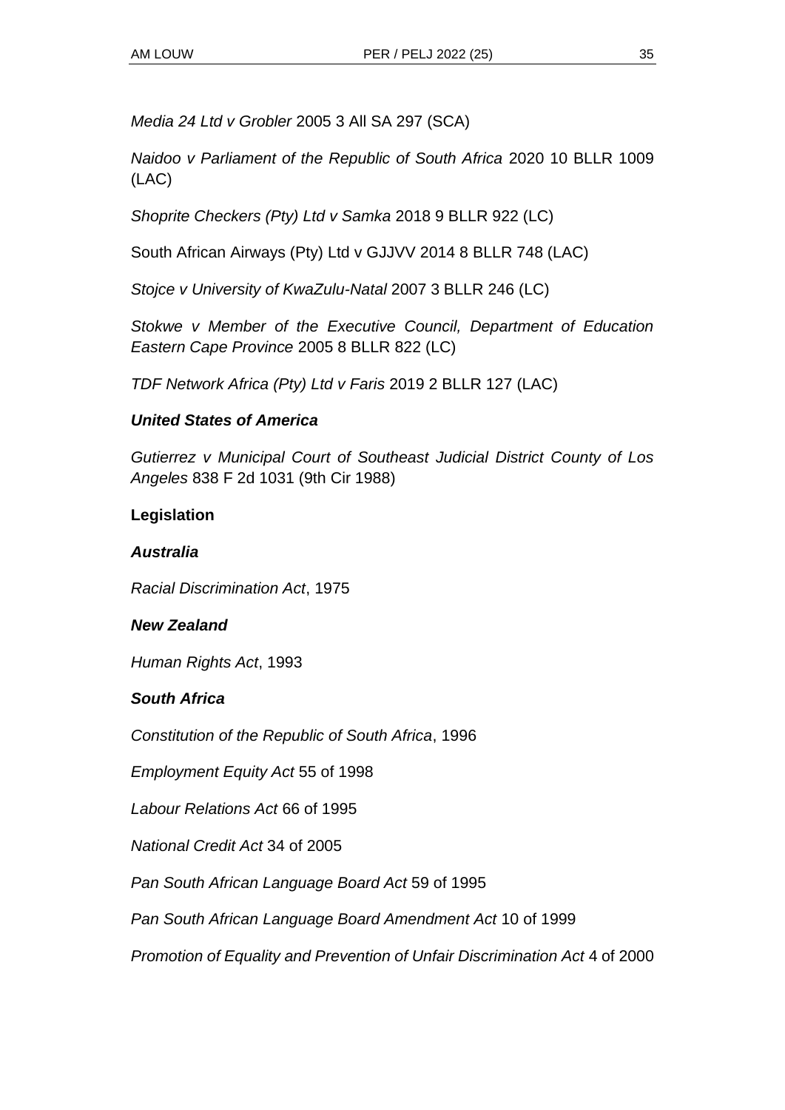*Media 24 Ltd v Grobler* 2005 3 All SA 297 (SCA)

*Naidoo v Parliament of the Republic of South Africa* 2020 10 BLLR 1009 (LAC)

*Shoprite Checkers (Pty) Ltd v Samka* 2018 9 BLLR 922 (LC)

South African Airways (Pty) Ltd v GJJVV 2014 8 BLLR 748 (LAC)

*Stojce v University of KwaZulu-Natal* 2007 3 BLLR 246 (LC)

*Stokwe v Member of the Executive Council, Department of Education Eastern Cape Province* 2005 8 BLLR 822 (LC)

*TDF Network Africa (Pty) Ltd v Faris* 2019 2 BLLR 127 (LAC)

### *United States of America*

*Gutierrez v Municipal Court of Southeast Judicial District County of Los Angeles* 838 F 2d 1031 (9th Cir 1988)

### **Legislation**

### *Australia*

*Racial Discrimination Act*, 1975

### *New Zealand*

*Human Rights Act*, 1993

### *South Africa*

*Constitution of the Republic of South Africa*, 1996

*Employment Equity Act* 55 of 1998

*Labour Relations Act* 66 of 1995

*National Credit Act* 34 of 2005

*Pan South African Language Board Act* 59 of 1995

*Pan South African Language Board Amendment Act* 10 of 1999

*Promotion of Equality and Prevention of Unfair Discrimination Act* 4 of 2000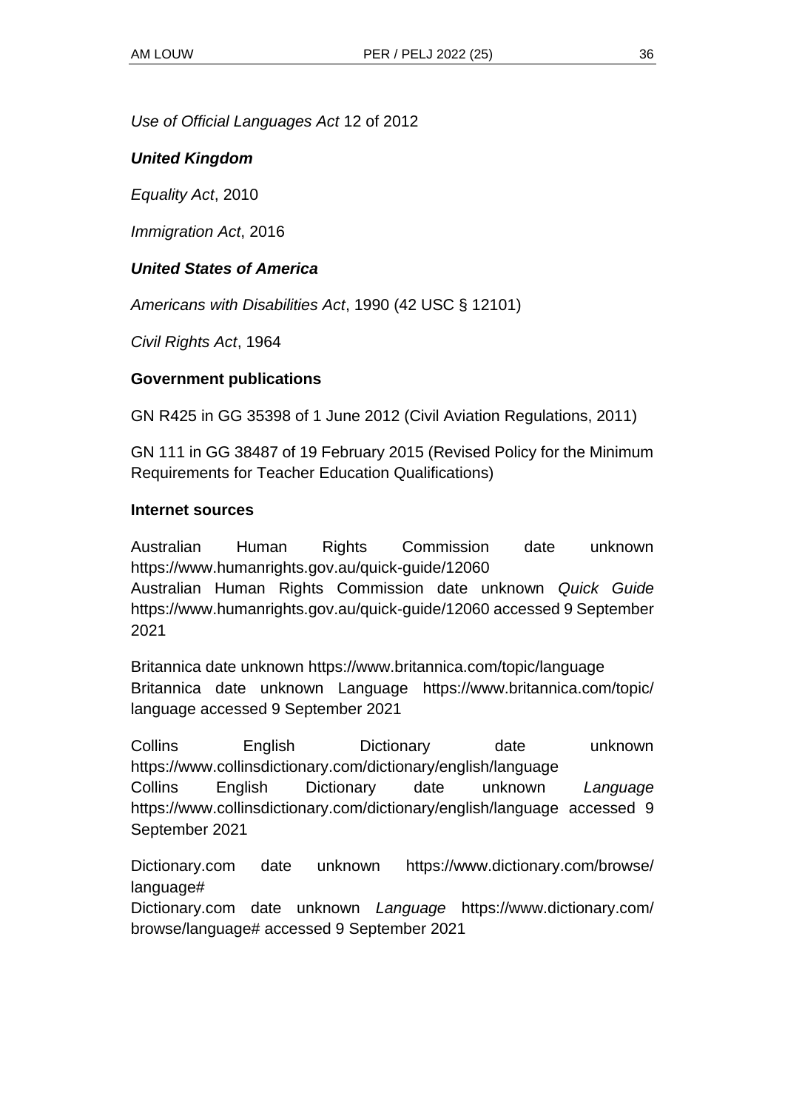*Use of Official Languages Act* 12 of 2012

#### *United Kingdom*

*Equality Act*, 2010

*Immigration Act*, 2016

#### *United States of America*

*Americans with Disabilities Act*, 1990 (42 USC § 12101)

*Civil Rights Act*, 1964

#### **Government publications**

GN R425 in GG 35398 of 1 June 2012 (Civil Aviation Regulations, 2011)

GN 111 in GG 38487 of 19 February 2015 (Revised Policy for the Minimum Requirements for Teacher Education Qualifications)

#### **Internet sources**

Australian Human Rights Commission date unknown https://www.humanrights.gov.au/quick-guide/12060 Australian Human Rights Commission date unknown *Quick Guide* https://www.humanrights.gov.au/quick-guide/12060 accessed 9 September 2021

Britannica date unknown https://www.britannica.com/topic/language Britannica date unknown Language https://www.britannica.com/topic/ language accessed 9 September 2021

Collins English Dictionary date unknown https://www.collinsdictionary.com/dictionary/english/language Collins English Dictionary date unknown *Language*  https://www.collinsdictionary.com/dictionary/english/language accessed 9 September 2021

Dictionary.com date unknown https://www.dictionary.com/browse/ language#

Dictionary.com date unknown *Language* https://www.dictionary.com/ browse/language# accessed 9 September 2021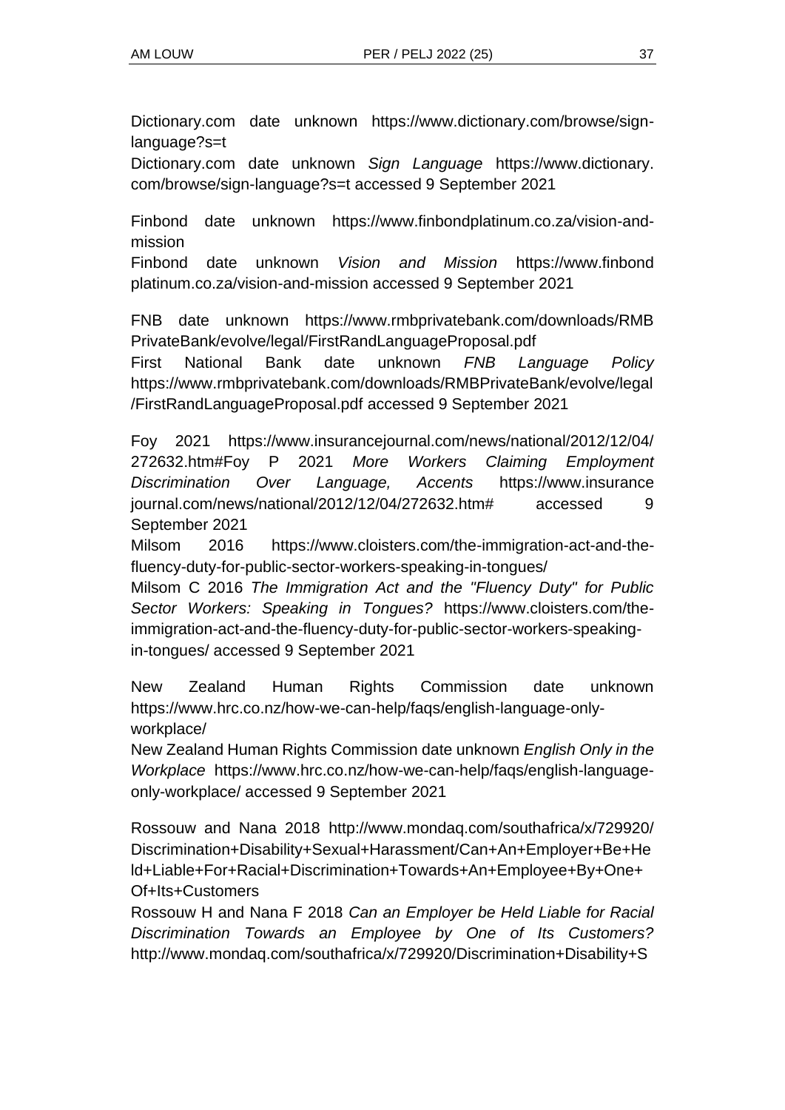Dictionary.com date unknown https://www.dictionary.com/browse/signlanguage?s=t

Dictionary.com date unknown *Sign Language* https://www.dictionary. com/browse/sign-language?s=t accessed 9 September 2021

Finbond date unknown https://www.finbondplatinum.co.za/vision-andmission

Finbond date unknown *Vision and Mission* https://www.finbond platinum.co.za/vision-and-mission accessed 9 September 2021

FNB date unknown https://www.rmbprivatebank.com/downloads/RMB PrivateBank/evolve/legal/FirstRandLanguageProposal.pdf

First National Bank date unknown *FNB Language Policy* https://www.rmbprivatebank.com/downloads/RMBPrivateBank/evolve/legal /FirstRandLanguageProposal.pdf accessed 9 September 2021

Foy 2021 https://www.insurancejournal.com/news/national/2012/12/04/ 272632.htm#Foy P 2021 *More Workers Claiming Employment Discrimination Over Language, Accents* https://www.insurance journal.com/news/national/2012/12/04/272632.htm# accessed 9 September 2021

Milsom 2016 https://www.cloisters.com/the-immigration-act-and-thefluency-duty-for-public-sector-workers-speaking-in-tongues/

Milsom C 2016 *The Immigration Act and the "Fluency Duty" for Public Sector Workers: Speaking in Tongues?* https://www.cloisters.com/theimmigration-act-and-the-fluency-duty-for-public-sector-workers-speakingin-tongues/ accessed 9 September 2021

New Zealand Human Rights Commission date unknown https://www.hrc.co.nz/how-we-can-help/faqs/english-language-onlyworkplace/

New Zealand Human Rights Commission date unknown *English Only in the Workplace* https://www.hrc.co.nz/how-we-can-help/faqs/english-languageonly-workplace/ accessed 9 September 2021

Rossouw and Nana 2018 http://www.mondaq.com/southafrica/x/729920/ Discrimination+Disability+Sexual+Harassment/Can+An+Employer+Be+He ld+Liable+For+Racial+Discrimination+Towards+An+Employee+By+One+ Of+Its+Customers

Rossouw H and Nana F 2018 *Can an Employer be Held Liable for Racial Discrimination Towards an Employee by One of Its Customers?* http://www.mondaq.com/southafrica/x/729920/Discrimination+Disability+S